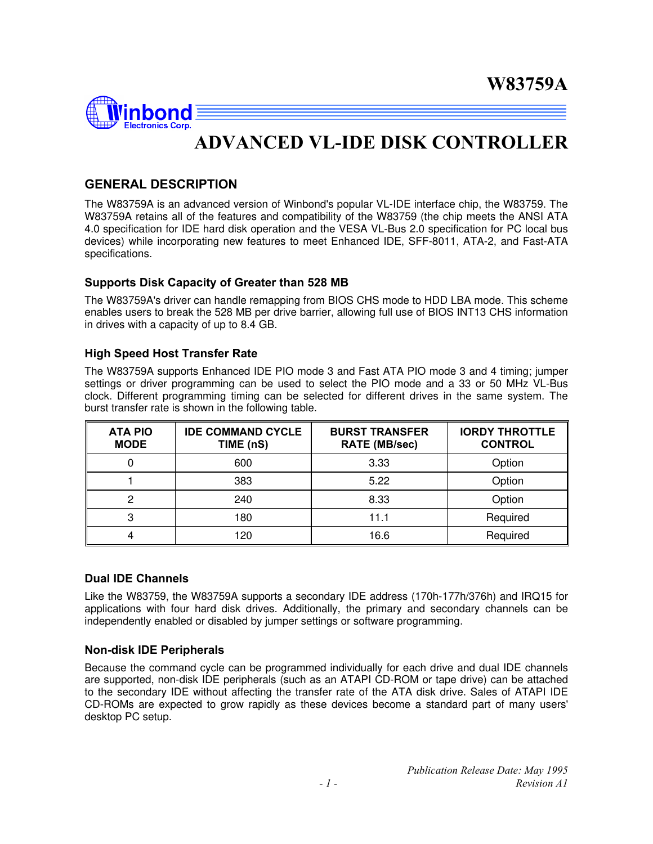

# **ADVANCED VL-IDE DISK CONTROLLER**

### **GENERAL DESCRIPTION**

The W83759A is an advanced version of Winbond's popular VL-IDE interface chip, the W83759. The W83759A retains all of the features and compatibility of the W83759 (the chip meets the ANSI ATA 4.0 specification for IDE hard disk operation and the VESA VL-Bus 2.0 specification for PC local bus devices) while incorporating new features to meet Enhanced IDE, SFF-8011, ATA-2, and Fast-ATA specifications.

#### **Supports Disk Capacity of Greater than 528 MB**

The W83759A's driver can handle remapping from BIOS CHS mode to HDD LBA mode. This scheme enables users to break the 528 MB per drive barrier, allowing full use of BIOS INT13 CHS information in drives with a capacity of up to 8.4 GB.

#### **High Speed Host Transfer Rate**

The W83759A supports Enhanced IDE PIO mode 3 and Fast ATA PIO mode 3 and 4 timing; jumper settings or driver programming can be used to select the PIO mode and a 33 or 50 MHz VL-Bus clock. Different programming timing can be selected for different drives in the same system. The burst transfer rate is shown in the following table.

| <b>ATA PIO</b><br><b>MODE</b> | <b>IDE COMMAND CYCLE</b><br>TIME (nS) | <b>BURST TRANSFER</b><br><b>RATE (MB/sec)</b> | <b>IORDY THROTTLE</b><br><b>CONTROL</b> |
|-------------------------------|---------------------------------------|-----------------------------------------------|-----------------------------------------|
| 0                             | 600                                   | 3.33                                          | Option                                  |
|                               | 383                                   | 5.22                                          | Option                                  |
| 0                             | 240                                   | 8.33                                          | Option                                  |
| 3                             | 180                                   | 11.1                                          | Required                                |
|                               | 120                                   | 16.6                                          | Required                                |

#### **Dual IDE Channels**

Like the W83759, the W83759A supports a secondary IDE address (170h-177h/376h) and IRQ15 for applications with four hard disk drives. Additionally, the primary and secondary channels can be independently enabled or disabled by jumper settings or software programming.

#### **Non-disk IDE Peripherals**

Because the command cycle can be programmed individually for each drive and dual IDE channels are supported, non-disk IDE peripherals (such as an ATAPI CD-ROM or tape drive) can be attached to the secondary IDE without affecting the transfer rate of the ATA disk drive. Sales of ATAPI IDE CD-ROMs are expected to grow rapidly as these devices become a standard part of many users' desktop PC setup.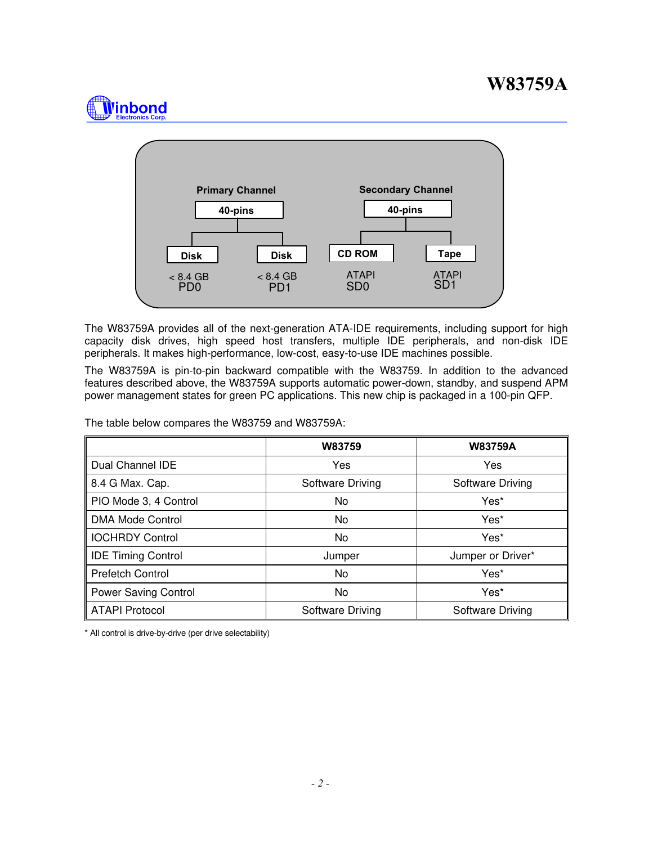# **Winbond**



The W83759A provides all of the next-generation ATA-IDE requirements, including support for high capacity disk drives, high speed host transfers, multiple IDE peripherals, and non-disk IDE peripherals. It makes high-performance, low-cost, easy-to-use IDE machines possible.

The W83759A is pin-to-pin backward compatible with the W83759. In addition to the advanced features described above, the W83759A supports automatic power-down, standby, and suspend APM power management states for green PC applications. This new chip is packaged in a 100-pin QFP.

The table below compares the W83759 and W83759A:

|                           | W83759           | <b>W83759A</b>    |
|---------------------------|------------------|-------------------|
| Dual Channel IDE          | <b>Yes</b>       | Yes               |
| 8.4 G Max. Cap.           | Software Driving | Software Driving  |
| PIO Mode 3, 4 Control     | No.              | Yes*              |
| <b>DMA Mode Control</b>   | No.              | Yes*              |
| <b>IOCHRDY Control</b>    | No               | Yes*              |
| <b>IDE Timing Control</b> | Jumper           | Jumper or Driver* |
| <b>Prefetch Control</b>   | No.              | Yes*              |
| Power Saving Control      | No               | Yes*              |
| <b>ATAPI Protocol</b>     | Software Driving | Software Driving  |

\* All control is drive-by-drive (per drive selectability)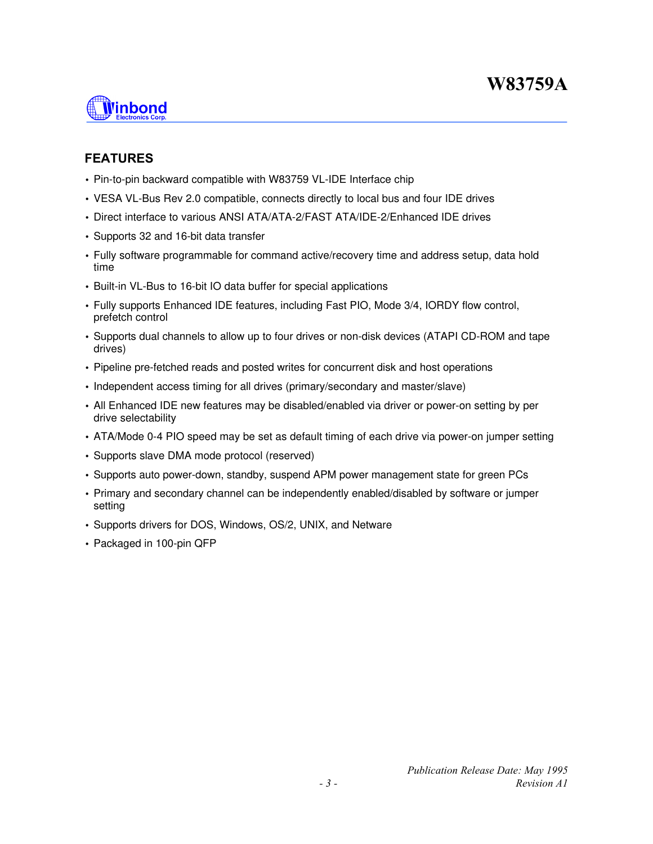

### **FEATURES**

- Pin-to-pin backward compatible with W83759 VL-IDE Interface chip
- VESA VL-Bus Rev 2.0 compatible, connects directly to local bus and four IDE drives
- Direct interface to various ANSI ATA/ATA-2/FAST ATA/IDE-2/Enhanced IDE drives
- Supports 32 and 16-bit data transfer
- Fully software programmable for command active/recovery time and address setup, data hold time
- Built-in VL-Bus to 16-bit IO data buffer for special applications
- Fully supports Enhanced IDE features, including Fast PIO, Mode 3/4, IORDY flow control, prefetch control
- Supports dual channels to allow up to four drives or non-disk devices (ATAPI CD-ROM and tape drives)
- Pipeline pre-fetched reads and posted writes for concurrent disk and host operations
- Independent access timing for all drives (primary/secondary and master/slave)
- All Enhanced IDE new features may be disabled/enabled via driver or power-on setting by per drive selectability
- ATA/Mode 0-4 PIO speed may be set as default timing of each drive via power-on jumper setting
- Supports slave DMA mode protocol (reserved)
- Supports auto power-down, standby, suspend APM power management state for green PCs
- Primary and secondary channel can be independently enabled/disabled by software or jumper setting
- Supports drivers for DOS, Windows, OS/2, UNIX, and Netware
- Packaged in 100-pin QFP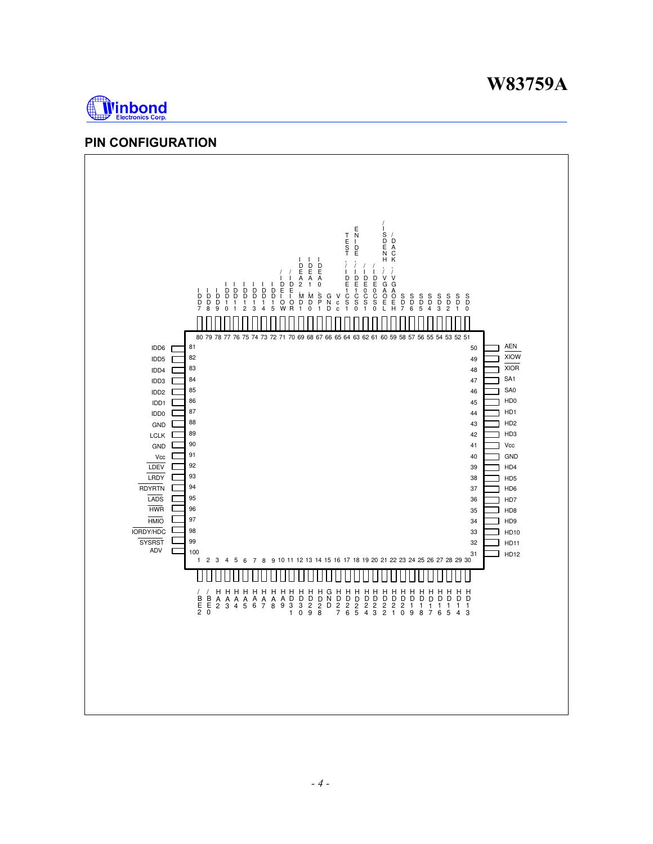



### **PIN CONFIGURATION**

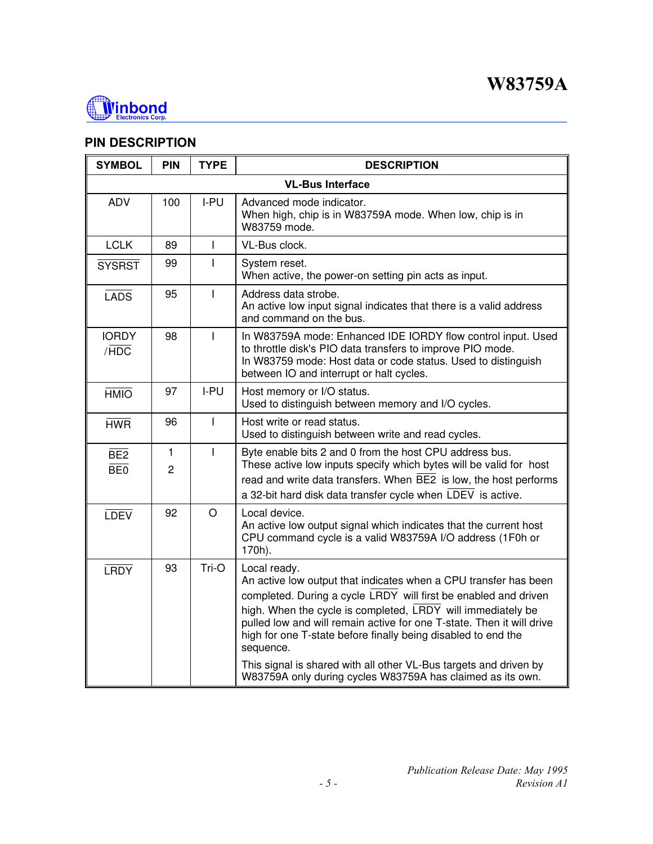

### **PIN DESCRIPTION**

| <b>SYMBOL</b>          | <b>PIN</b>          | <b>TYPE</b>  | <b>DESCRIPTION</b>                                                                                                                                                                                                                                                                                                                                                                                                                                                                                           |
|------------------------|---------------------|--------------|--------------------------------------------------------------------------------------------------------------------------------------------------------------------------------------------------------------------------------------------------------------------------------------------------------------------------------------------------------------------------------------------------------------------------------------------------------------------------------------------------------------|
|                        |                     |              | <b>VL-Bus Interface</b>                                                                                                                                                                                                                                                                                                                                                                                                                                                                                      |
| <b>ADV</b>             | 100                 | I-PU         | Advanced mode indicator.<br>When high, chip is in W83759A mode. When low, chip is in<br>W83759 mode.                                                                                                                                                                                                                                                                                                                                                                                                         |
| <b>LCLK</b>            | 89                  | T            | VL-Bus clock.                                                                                                                                                                                                                                                                                                                                                                                                                                                                                                |
| <b>SYSRST</b>          | 99                  | L            | System reset.<br>When active, the power-on setting pin acts as input.                                                                                                                                                                                                                                                                                                                                                                                                                                        |
| LADS                   | 95                  | $\mathbf{I}$ | Address data strobe.<br>An active low input signal indicates that there is a valid address<br>and command on the bus.                                                                                                                                                                                                                                                                                                                                                                                        |
| <b>IORDY</b><br>/HDC   | 98                  | T            | In W83759A mode: Enhanced IDE IORDY flow control input. Used<br>to throttle disk's PIO data transfers to improve PIO mode.<br>In W83759 mode: Host data or code status. Used to distinguish<br>between IO and interrupt or halt cycles.                                                                                                                                                                                                                                                                      |
| <b>HMIO</b>            | 97                  | I-PU         | Host memory or I/O status.<br>Used to distinguish between memory and I/O cycles.                                                                                                                                                                                                                                                                                                                                                                                                                             |
| <b>HWR</b>             | 96                  | T            | Host write or read status.<br>Used to distinguish between write and read cycles.                                                                                                                                                                                                                                                                                                                                                                                                                             |
| BE <sub>2</sub><br>BE0 | 1<br>$\overline{2}$ | T            | Byte enable bits 2 and 0 from the host CPU address bus.<br>These active low inputs specify which bytes will be valid for host<br>read and write data transfers. When BE2 is low, the host performs<br>a 32-bit hard disk data transfer cycle when LDEV is active.                                                                                                                                                                                                                                            |
| <b>LDEV</b>            | 92                  | $\circ$      | Local device.<br>An active low output signal which indicates that the current host<br>CPU command cycle is a valid W83759A I/O address (1F0h or<br>170h).                                                                                                                                                                                                                                                                                                                                                    |
| <b>LRDY</b>            | 93                  | Tri-O        | Local ready.<br>An active low output that indicates when a CPU transfer has been<br>completed. During a cycle LRDY will first be enabled and driven<br>high. When the cycle is completed, LRDY will immediately be<br>pulled low and will remain active for one T-state. Then it will drive<br>high for one T-state before finally being disabled to end the<br>sequence.<br>This signal is shared with all other VL-Bus targets and driven by<br>W83759A only during cycles W83759A has claimed as its own. |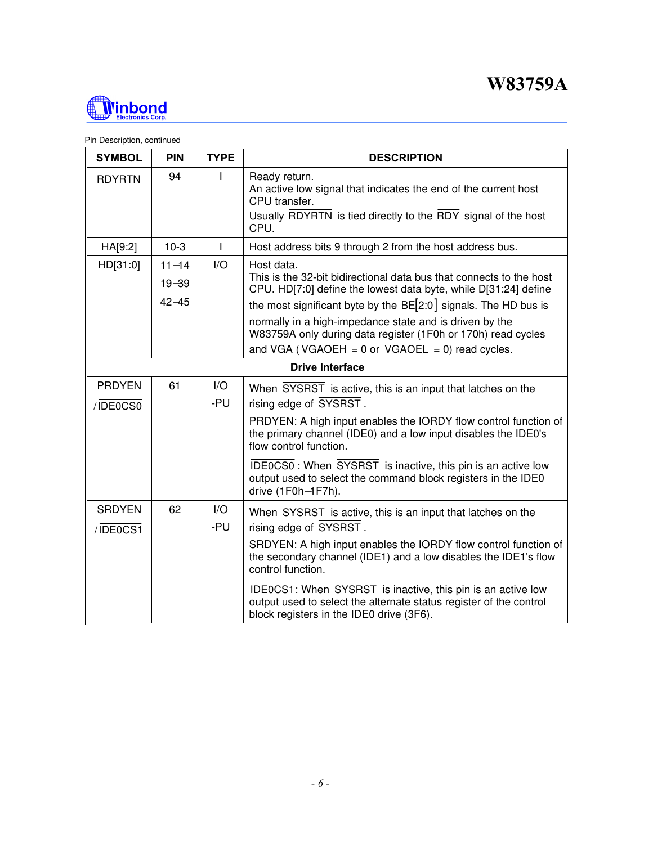

| <b>SYMBOL</b>             | <b>PIN</b>                          | <b>TYPE</b>                    | <b>DESCRIPTION</b>                                                                                                                                                                                                      |  |  |  |
|---------------------------|-------------------------------------|--------------------------------|-------------------------------------------------------------------------------------------------------------------------------------------------------------------------------------------------------------------------|--|--|--|
| <b>RDYRTN</b>             | 94                                  |                                | Ready return.<br>An active low signal that indicates the end of the current host<br>CPU transfer.<br>Usually RDYRTN is tied directly to the RDY signal of the host<br>CPU.                                              |  |  |  |
| HA[9:2]                   | $10-3$                              | L                              | Host address bits 9 through 2 from the host address bus.                                                                                                                                                                |  |  |  |
| HD[31:0]                  | $11 - 14$<br>$19 - 39$<br>$42 - 45$ | 1/O                            | Host data.<br>This is the 32-bit bidirectional data bus that connects to the host<br>CPU. HD[7:0] define the lowest data byte, while D[31:24] define<br>the most significant byte by the BE[2:0] signals. The HD bus is |  |  |  |
|                           |                                     |                                | normally in a high-impedance state and is driven by the<br>W83759A only during data register (1F0h or 170h) read cycles<br>and VGA (VGAOEH = $0$ or VGAOEL = 0) read cycles.                                            |  |  |  |
|                           | <b>Drive Interface</b>              |                                |                                                                                                                                                                                                                         |  |  |  |
| <b>PRDYEN</b><br>/IDE0CS0 | 61                                  | $\mathsf{I}/\mathsf{O}$<br>-PU | When SYSRST is active, this is an input that latches on the<br>rising edge of SYSRST.                                                                                                                                   |  |  |  |
|                           |                                     |                                | PRDYEN: A high input enables the IORDY flow control function of<br>the primary channel (IDE0) and a low input disables the IDE0's<br>flow control function.                                                             |  |  |  |
|                           |                                     |                                | IDE0CS0: When SYSRST is inactive, this pin is an active low<br>output used to select the command block registers in the IDE0<br>drive (1F0h-1F7h).                                                                      |  |  |  |
| <b>SRDYEN</b><br>/IDE0CS1 | 62                                  | $\mathsf{IO}$<br>-PU           | When SYSRST is active, this is an input that latches on the<br>rising edge of SYSRST.                                                                                                                                   |  |  |  |
|                           |                                     |                                | SRDYEN: A high input enables the IORDY flow control function of<br>the secondary channel (IDE1) and a low disables the IDE1's flow<br>control function.                                                                 |  |  |  |
|                           |                                     |                                | IDE0CS1: When SYSRST is inactive, this pin is an active low<br>output used to select the alternate status register of the control<br>block registers in the IDE0 drive (3F6).                                           |  |  |  |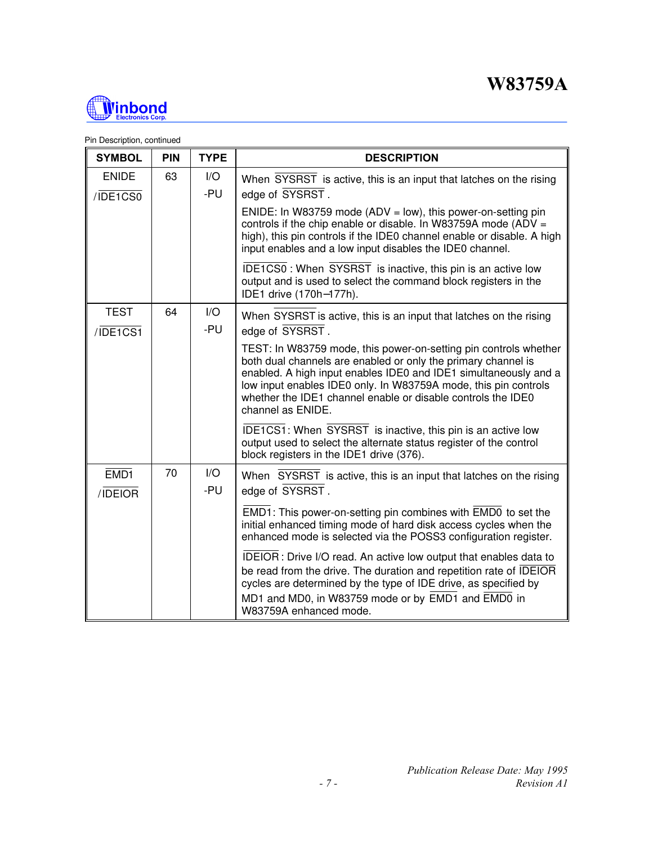

| <b>SYMBOL</b>               | PIN | <b>TYPE</b>                    | <b>DESCRIPTION</b>                                                                                                                                                                                                                                                                                                                                            |
|-----------------------------|-----|--------------------------------|---------------------------------------------------------------------------------------------------------------------------------------------------------------------------------------------------------------------------------------------------------------------------------------------------------------------------------------------------------------|
| <b>ENIDE</b><br>/IDE1CS0    | 63  | $\mathsf{I}/\mathsf{O}$<br>-PU | When SYSRST is active, this is an input that latches on the rising<br>edge of SYSRST.                                                                                                                                                                                                                                                                         |
|                             |     |                                | ENIDE: In W83759 mode (ADV = low), this power-on-setting pin<br>controls if the chip enable or disable. In W83759A mode (ADV =<br>high), this pin controls if the IDE0 channel enable or disable. A high<br>input enables and a low input disables the IDE0 channel.                                                                                          |
|                             |     |                                | IDE1CS0: When SYSRST is inactive, this pin is an active low<br>output and is used to select the command block registers in the<br>IDE1 drive (170h-177h).                                                                                                                                                                                                     |
| <b>TEST</b><br>/IDE1CS1     | 64  | I/O<br>-PU                     | When SYSRST is active, this is an input that latches on the rising<br>edge of SYSRST.                                                                                                                                                                                                                                                                         |
|                             |     |                                | TEST: In W83759 mode, this power-on-setting pin controls whether<br>both dual channels are enabled or only the primary channel is<br>enabled. A high input enables IDE0 and IDE1 simultaneously and a<br>low input enables IDE0 only. In W83759A mode, this pin controls<br>whether the IDE1 channel enable or disable controls the IDE0<br>channel as ENIDE. |
|                             |     |                                | IDE1CS1: When SYSRST is inactive, this pin is an active low<br>output used to select the alternate status register of the control<br>block registers in the IDE1 drive (376).                                                                                                                                                                                 |
| EMD <sub>1</sub><br>/IDEIOR | 70  | $\mathsf{I}/\mathsf{O}$<br>-PU | When SYSRST is active, this is an input that latches on the rising<br>edge of SYSRST.                                                                                                                                                                                                                                                                         |
|                             |     |                                | EMD1: This power-on-setting pin combines with EMD0 to set the<br>initial enhanced timing mode of hard disk access cycles when the<br>enhanced mode is selected via the POSS3 configuration register.                                                                                                                                                          |
|                             |     |                                | IDEIOR: Drive I/O read. An active low output that enables data to<br>be read from the drive. The duration and repetition rate of IDEIOR<br>cycles are determined by the type of IDE drive, as specified by<br>MD1 and MD0, in W83759 mode or by EMD1 and EMD0 in<br>W83759A enhanced mode.                                                                    |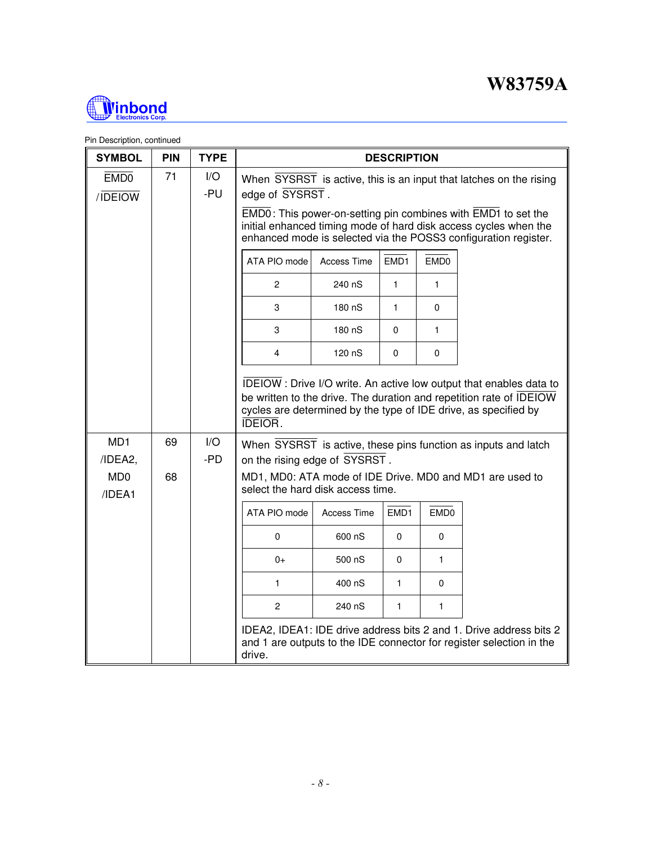

| <b>SYMBOL</b>                         | <b>PIN</b> | <b>TYPE</b> | <b>DESCRIPTION</b>                                                                                                                                                                                                             |                                                                                                                                                                                                      |                  |                  |                                                                                                                                            |  |  |  |
|---------------------------------------|------------|-------------|--------------------------------------------------------------------------------------------------------------------------------------------------------------------------------------------------------------------------------|------------------------------------------------------------------------------------------------------------------------------------------------------------------------------------------------------|------------------|------------------|--------------------------------------------------------------------------------------------------------------------------------------------|--|--|--|
| EMD <sub>0</sub><br>/IDEIOW           | 71         | I/O<br>-PU  | When SYSRST is active, this is an input that latches on the rising<br>edge of SYSRST.                                                                                                                                          |                                                                                                                                                                                                      |                  |                  |                                                                                                                                            |  |  |  |
|                                       |            |             |                                                                                                                                                                                                                                | EMD0: This power-on-setting pin combines with EMD1 to set the<br>initial enhanced timing mode of hard disk access cycles when the<br>enhanced mode is selected via the POSS3 configuration register. |                  |                  |                                                                                                                                            |  |  |  |
|                                       |            |             | ATA PIO mode                                                                                                                                                                                                                   | <b>Access Time</b>                                                                                                                                                                                   | EMD1             | EMD <sub>0</sub> |                                                                                                                                            |  |  |  |
|                                       |            |             | $\overline{c}$                                                                                                                                                                                                                 | 240 nS                                                                                                                                                                                               | 1                | 1                |                                                                                                                                            |  |  |  |
|                                       |            |             | 3                                                                                                                                                                                                                              | 180 nS                                                                                                                                                                                               | 1                | $\Omega$         |                                                                                                                                            |  |  |  |
|                                       |            |             | 3                                                                                                                                                                                                                              | 180 nS                                                                                                                                                                                               | $\Omega$         | 1                |                                                                                                                                            |  |  |  |
|                                       |            |             | 4                                                                                                                                                                                                                              | 120 nS                                                                                                                                                                                               | 0                | 0                |                                                                                                                                            |  |  |  |
|                                       |            |             | IDEIOW: Drive I/O write. An active low output that enables data to<br>be written to the drive. The duration and repetition rate of IDEIOW<br>cycles are determined by the type of IDE drive, as specified by<br><b>IDEIOR.</b> |                                                                                                                                                                                                      |                  |                  |                                                                                                                                            |  |  |  |
| MD <sub>1</sub><br>/IDEA2,            | 69         | I/O<br>-PD  | on the rising edge of SYSRST.                                                                                                                                                                                                  |                                                                                                                                                                                                      |                  |                  | When SYSRST is active, these pins function as inputs and latch                                                                             |  |  |  |
| M <sub>D</sub> <sub>0</sub><br>/IDEA1 | 68         |             | select the hard disk access time.                                                                                                                                                                                              |                                                                                                                                                                                                      |                  |                  | MD1, MD0: ATA mode of IDE Drive. MD0 and MD1 are used to                                                                                   |  |  |  |
|                                       |            |             | ATA PIO mode                                                                                                                                                                                                                   | <b>Access Time</b>                                                                                                                                                                                   | EMD <sub>1</sub> | EMD <sub>0</sub> |                                                                                                                                            |  |  |  |
|                                       |            |             | 0                                                                                                                                                                                                                              | 600 nS                                                                                                                                                                                               | 0                | 0                |                                                                                                                                            |  |  |  |
|                                       |            |             | $0+$                                                                                                                                                                                                                           | 500 nS                                                                                                                                                                                               | 0                | 1                |                                                                                                                                            |  |  |  |
|                                       |            |             | 1                                                                                                                                                                                                                              | 400 nS                                                                                                                                                                                               | $\mathbf{1}$     | $\Omega$         |                                                                                                                                            |  |  |  |
|                                       |            |             | $\overline{c}$<br>240 nS<br>$\mathbf{1}$<br>$\mathbf{1}$                                                                                                                                                                       |                                                                                                                                                                                                      |                  |                  |                                                                                                                                            |  |  |  |
|                                       |            |             | drive.                                                                                                                                                                                                                         |                                                                                                                                                                                                      |                  |                  | IDEA2, IDEA1: IDE drive address bits 2 and 1. Drive address bits 2<br>and 1 are outputs to the IDE connector for register selection in the |  |  |  |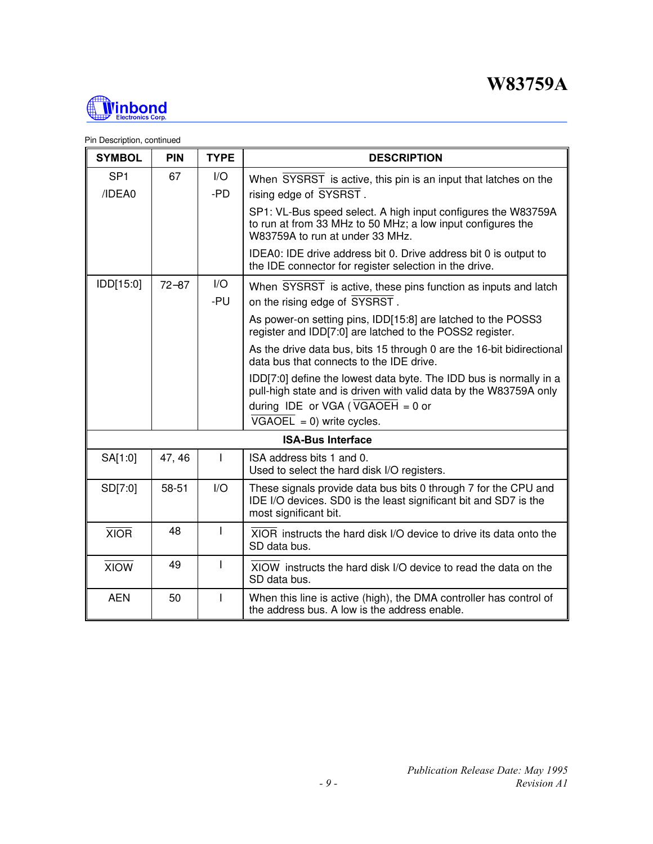

| <b>SYMBOL</b>             | <b>PIN</b> | <b>TYPE</b>                    | <b>DESCRIPTION</b>                                                                                                                                                            |
|---------------------------|------------|--------------------------------|-------------------------------------------------------------------------------------------------------------------------------------------------------------------------------|
| SP <sub>1</sub><br>/IDEA0 | 67         | $\mathsf{I}/\mathsf{O}$<br>-PD | When SYSRST is active, this pin is an input that latches on the<br>rising edge of SYSRST.                                                                                     |
|                           |            |                                | SP1: VL-Bus speed select. A high input configures the W83759A<br>to run at from 33 MHz to 50 MHz; a low input configures the<br>W83759A to run at under 33 MHz.               |
|                           |            |                                | IDEA0: IDE drive address bit 0. Drive address bit 0 is output to<br>the IDE connector for register selection in the drive.                                                    |
| IDD[15:0]                 | $72 - 87$  | I/O<br>-PU                     | When SYSRST is active, these pins function as inputs and latch<br>on the rising edge of SYSRST.                                                                               |
|                           |            |                                | As power-on setting pins, IDD[15:8] are latched to the POSS3<br>register and IDD[7:0] are latched to the POSS2 register.                                                      |
|                           |            |                                | As the drive data bus, bits 15 through 0 are the 16-bit bidirectional<br>data bus that connects to the IDE drive.                                                             |
|                           |            |                                | IDD[7:0] define the lowest data byte. The IDD bus is normally in a<br>pull-high state and is driven with valid data by the W83759A only<br>during IDE or VGA (VGAOEH = $0$ or |
|                           |            |                                | $\overline{VGAOEL} = 0$ ) write cycles.                                                                                                                                       |
|                           |            |                                | <b>ISA-Bus Interface</b>                                                                                                                                                      |
| SA[1:0]                   | 47, 46     | ı                              | ISA address bits 1 and 0.<br>Used to select the hard disk I/O registers.                                                                                                      |
| SD[7:0]                   | 58-51      | $\mathsf{I}/\mathsf{O}$        | These signals provide data bus bits 0 through 7 for the CPU and<br>IDE I/O devices. SD0 is the least significant bit and SD7 is the<br>most significant bit.                  |
| <b>XIOR</b>               | 48         | ı                              | XIOR instructs the hard disk I/O device to drive its data onto the<br>SD data bus.                                                                                            |
| <b>XIOW</b>               | 49         |                                | XIOW instructs the hard disk I/O device to read the data on the<br>SD data bus.                                                                                               |
| <b>AEN</b>                | 50         |                                | When this line is active (high), the DMA controller has control of<br>the address bus. A low is the address enable.                                                           |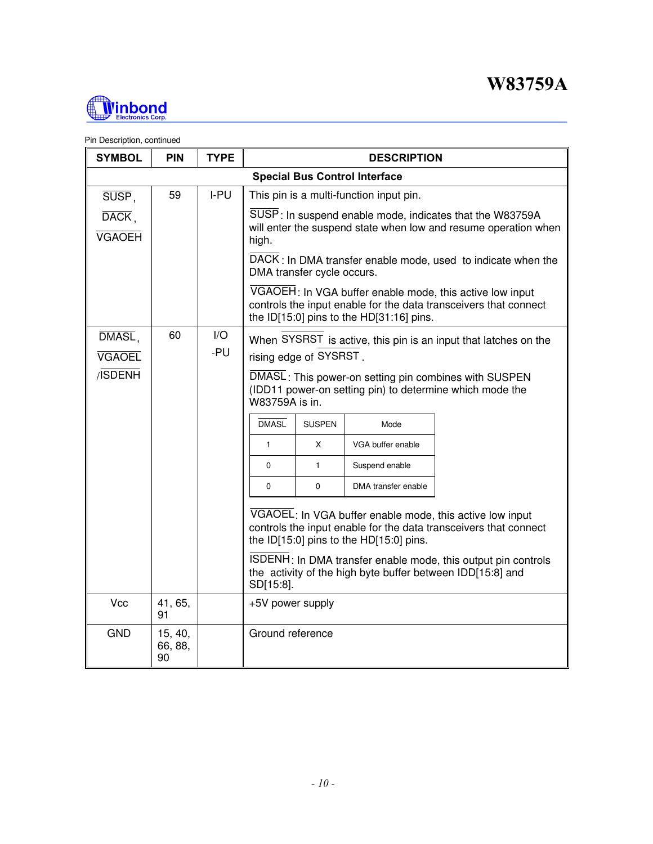

| <b>SYMBOL</b>                                           | <b>PIN</b>               | <b>TYPE</b> |                                                                                                                                                                                           |                                                                                                                                                                                                                                                                                                                                                                                                                                                                                                                                        | <b>DESCRIPTION</b> |                                                              |  |  |  |
|---------------------------------------------------------|--------------------------|-------------|-------------------------------------------------------------------------------------------------------------------------------------------------------------------------------------------|----------------------------------------------------------------------------------------------------------------------------------------------------------------------------------------------------------------------------------------------------------------------------------------------------------------------------------------------------------------------------------------------------------------------------------------------------------------------------------------------------------------------------------------|--------------------|--------------------------------------------------------------|--|--|--|
| <b>Special Bus Control Interface</b>                    |                          |             |                                                                                                                                                                                           |                                                                                                                                                                                                                                                                                                                                                                                                                                                                                                                                        |                    |                                                              |  |  |  |
| $SUSP$ ,<br>$\overline{\text{DACK}}$ .<br><b>VGAOEH</b> | 59                       | I-PU        | high.                                                                                                                                                                                     | This pin is a multi-function input pin.<br>SUSP: In suspend enable mode, indicates that the W83759A<br>will enter the suspend state when low and resume operation when                                                                                                                                                                                                                                                                                                                                                                 |                    |                                                              |  |  |  |
|                                                         |                          |             |                                                                                                                                                                                           | DMA transfer cycle occurs.                                                                                                                                                                                                                                                                                                                                                                                                                                                                                                             |                    | DACK: In DMA transfer enable mode, used to indicate when the |  |  |  |
|                                                         |                          |             |                                                                                                                                                                                           | VGAOEH: In VGA buffer enable mode, this active low input<br>controls the input enable for the data transceivers that connect<br>the ID[15:0] pins to the HD[31:16] pins.                                                                                                                                                                                                                                                                                                                                                               |                    |                                                              |  |  |  |
| DMASL,<br><b>VGAOEL</b><br>/ <b>ISDENH</b>              | 60                       | I/O<br>-PU  | <b>DMASL</b><br>$\mathbf{1}$<br>$\mathbf 0$<br>$\mathbf 0$<br>ISDENH: In DMA transfer enable mode, this output pin controls<br>the activity of the high byte buffer between IDD[15:8] and | When SYSRST is active, this pin is an input that latches on the<br>rising edge of SYSRST.<br>DMASL: This power-on setting pin combines with SUSPEN<br>(IDD11 power-on setting pin) to determine which mode the<br>W83759A is in.<br><b>SUSPEN</b><br>Mode<br>X<br>VGA buffer enable<br>$\mathbf{1}$<br>Suspend enable<br>$\mathbf 0$<br>DMA transfer enable<br>VGAOEL: In VGA buffer enable mode, this active low input<br>controls the input enable for the data transceivers that connect<br>the ID[15:0] pins to the HD[15:0] pins. |                    |                                                              |  |  |  |
| Vcc                                                     | 41, 65,<br>91            |             | SD[15:8].<br>+5V power supply                                                                                                                                                             |                                                                                                                                                                                                                                                                                                                                                                                                                                                                                                                                        |                    |                                                              |  |  |  |
| <b>GND</b>                                              | 15, 40,<br>66, 88,<br>90 |             | Ground reference                                                                                                                                                                          |                                                                                                                                                                                                                                                                                                                                                                                                                                                                                                                                        |                    |                                                              |  |  |  |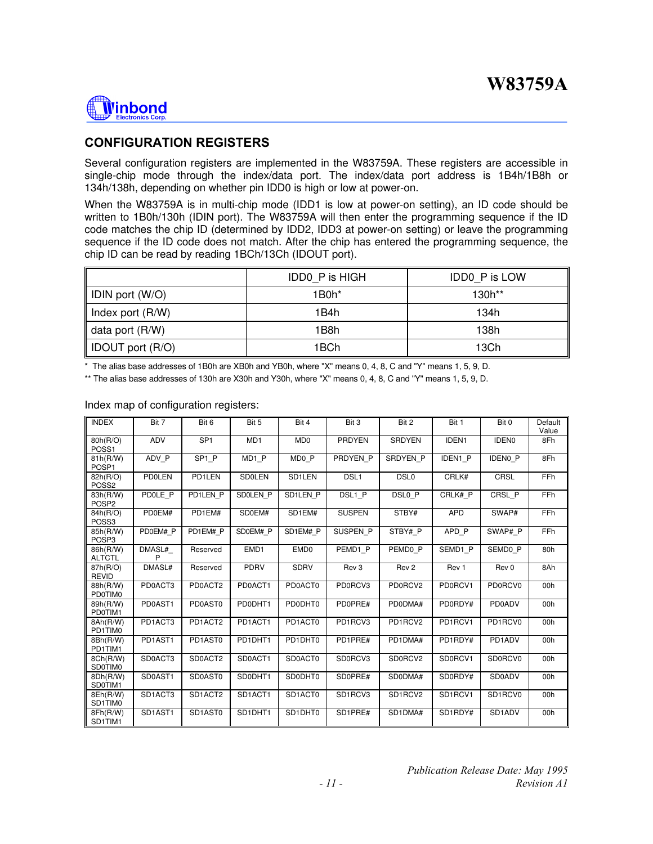

### **CONFIGURATION REGISTERS**

Several configuration registers are implemented in the W83759A. These registers are accessible in single-chip mode through the index/data port. The index/data port address is 1B4h/1B8h or 134h/138h, depending on whether pin IDD0 is high or low at power-on.

When the W83759A is in multi-chip mode (IDD1 is low at power-on setting), an ID code should be written to 1B0h/130h (IDIN port). The W83759A will then enter the programming sequence if the ID code matches the chip ID (determined by IDD2, IDD3 at power-on setting) or leave the programming sequence if the ID code does not match. After the chip has entered the programming sequence, the chip ID can be read by reading 1BCh/13Ch (IDOUT port).

|                    | <b>IDDO P is HIGH</b> | <b>IDDO P is LOW</b> |
|--------------------|-----------------------|----------------------|
| IDIN port (W/O)    | $1B0h*$               | $130h**$             |
| Index port $(R/W)$ | 1B4h                  | 134h                 |
| data port $(R/W)$  | 1B8h                  | 138h                 |
| IDOUT port (R/O)   | 1BCh                  | 13Ch                 |

\* The alias base addresses of 1B0h are XB0h and YB0h, where "X" means 0, 4, 8, C and "Y" means 1, 5, 9, D.

\*\* The alias base addresses of 130h are X30h and Y30h, where "X" means 0, 4, 8, C and "Y" means 1, 5, 9, D.

| <b>INDEX</b>                  | Bit 7         | Bit 6             | Bit 5             | Bit 4            | Bit 3            | Bit 2            | Bit 1      | Bit 0             | Default<br>Value |
|-------------------------------|---------------|-------------------|-------------------|------------------|------------------|------------------|------------|-------------------|------------------|
| 80h(R/O)<br>POSS <sub>1</sub> | ADV           | SP <sub>1</sub>   | MD <sub>1</sub>   | MD <sub>0</sub>  | <b>PRDYEN</b>    | <b>SRDYEN</b>    | IDEN1      | IDEN <sub>0</sub> | 8Fh              |
| 81h(R/W)<br>POSP <sub>1</sub> | ADV P         | SP <sub>1</sub> P | MD <sub>1</sub> P | MD0 P            | PRDYEN P         | SRDYEN P         | IDEN1 P    | <b>IDENO P</b>    | 8Fh              |
| 82h(R/O)<br>POSS <sub>2</sub> | <b>PDOLEN</b> | PD1LEN            | <b>SD0LEN</b>     | SD1LEN           | DSL <sub>1</sub> | DSL <sub>0</sub> | CRLK#      | CRSL              | FFh              |
| 83h(R/W)<br>POSP <sub>2</sub> | PD0LE P       | PD1LEN P          | SD0LEN P          | SD1LEN P         | DSL1 P           | DSL0 P           | CRLK# P    | CRSL P            | FFh              |
| 84h(R/O)<br>POSS <sub>3</sub> | PD0EM#        | PD1EM#            | SD0EM#            | SD1EM#           | <b>SUSPEN</b>    | STBY#            | <b>APD</b> | SWAP#             | FFh              |
| 85h(R/W)<br>POSP <sub>3</sub> | PD0EM# P      | PD1EM# P          | SD0EM# P          | SD1EM# P         | SUSPEN P         | STBY# P          | APD P      | SWAP# P           | FFh              |
| 86h(R/W)<br><b>ALTCTL</b>     | DMASL#<br>P   | Reserved          | EMD1              | EMD <sub>0</sub> | PEMD1 P          | PEMD0 P          | SEMD1 P    | SEMD0 P           | 80h              |
| 87h(R/O)<br><b>REVID</b>      | DMASL#        | Reserved          | PDRV              | <b>SDRV</b>      | Rev <sub>3</sub> | Rev <sub>2</sub> | Rev 1      | Rev 0             | 8Ah              |
| 88h(R/W)<br>PD0TIM0           | PD0ACT3       | PD0ACT2           | PD0ACT1           | PD0ACT0          | PD0RCV3          | PD0RCV2          | PD0RCV1    | PD0RCV0           | 00h              |
| 89h(R/W)<br>PD0TIM1           | PD0AST1       | PD0AST0           | PD0DHT1           | PD0DHT0          | PD0PRE#          | PD0DMA#          | PD0RDY#    | <b>PD0ADV</b>     | 00h              |
| 8Ah(R/W)<br>PD1TIM0           | PD1ACT3       | PD1ACT2           | PD1ACT1           | PD1ACT0          | PD1RCV3          | PD1RCV2          | PD1RCV1    | PD1RCV0           | 00h              |
| 8Bh(R/W)<br>PD1TIM1           | PD1AST1       | PD1AST0           | PD1DHT1           | PD1DHT0          | PD1PRE#          | PD1DMA#          | PD1RDY#    | PD1ADV            | 00h              |
| 8Ch(R/W)<br>SD0TIM0           | SD0ACT3       | SD0ACT2           | SD0ACT1           | SD0ACT0          | SD0RCV3          | SD0RCV2          | SD0RCV1    | SD0RCV0           | 00h              |
| 8Dh(R/W)<br>SD0TIM1           | SD0AST1       | SD0AST0           | SD0DHT1           | SD0DHT0          | SD0PRE#          | SD0DMA#          | SD0RDY#    | <b>SD0ADV</b>     | 00h              |
| 8Eh(R/W)<br>SD1TIM0           | SD1ACT3       | SD1ACT2           | SD1ACT1           | SD1ACT0          | SD1RCV3          | SD1RCV2          | SD1RCV1    | SD1RCV0           | 00h              |
| 8Fh(R/W)<br>SD1TIM1           | SD1AST1       | SD1AST0           | SD1DHT1           | SD1DHT0          | SD1PRE#          | SD1DMA#          | SD1RDY#    | SD1ADV            | 00h              |

#### Index map of configuration registers: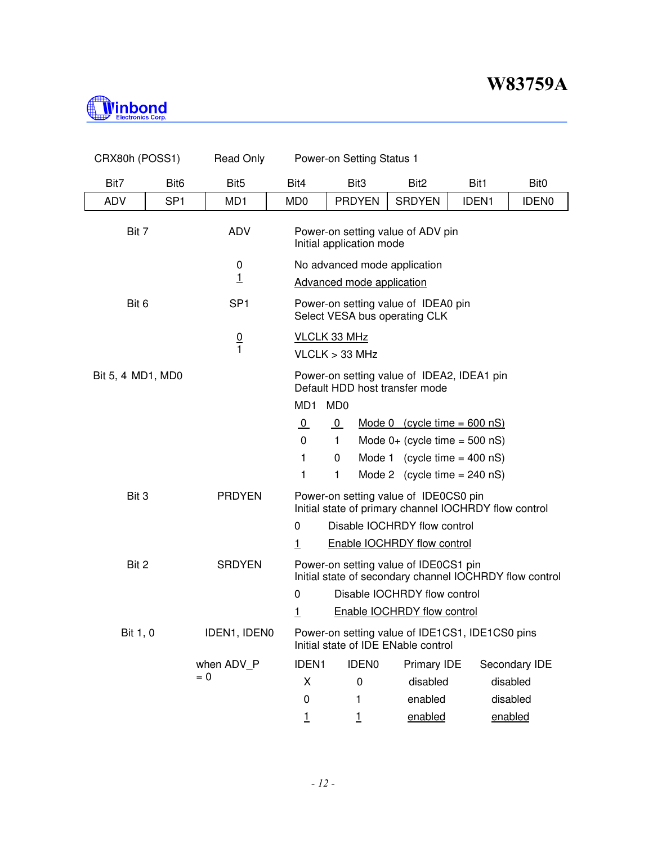

| CRX80h (POSS1)    |                  | <b>Read Only</b> | Power-on Setting Status 1                                                              |                                                                              |                                                                                                  |              |                  |  |  |  |
|-------------------|------------------|------------------|----------------------------------------------------------------------------------------|------------------------------------------------------------------------------|--------------------------------------------------------------------------------------------------|--------------|------------------|--|--|--|
| Bit7              | Bit <sub>6</sub> | Bit <sub>5</sub> | Bit4                                                                                   | Bit <sub>3</sub>                                                             | Bit <sub>2</sub>                                                                                 | Bit1         | Bit <sub>0</sub> |  |  |  |
| <b>ADV</b>        | SP <sub>1</sub>  | MD1              | MD <sub>0</sub>                                                                        | <b>PRDYEN</b>                                                                | <b>SRDYEN</b>                                                                                    | <b>IDEN1</b> | <b>IDEN0</b>     |  |  |  |
| Bit 7             |                  | <b>ADV</b>       |                                                                                        | Power-on setting value of ADV pin<br>Initial application mode                |                                                                                                  |              |                  |  |  |  |
|                   |                  | 0                |                                                                                        | No advanced mode application                                                 |                                                                                                  |              |                  |  |  |  |
|                   |                  | $\overline{1}$   |                                                                                        | <b>Advanced mode application</b>                                             |                                                                                                  |              |                  |  |  |  |
| Bit 6             |                  | SP <sub>1</sub>  |                                                                                        | Power-on setting value of IDEA0 pin<br>Select VESA bus operating CLK         |                                                                                                  |              |                  |  |  |  |
|                   |                  | $\frac{0}{1}$    |                                                                                        | <b>VLCLK 33 MHz</b>                                                          |                                                                                                  |              |                  |  |  |  |
|                   |                  |                  |                                                                                        | VLCLK > 33 MHz                                                               |                                                                                                  |              |                  |  |  |  |
| Bit 5, 4 MD1, MD0 |                  |                  |                                                                                        | Power-on setting value of IDEA2, IDEA1 pin<br>Default HDD host transfer mode |                                                                                                  |              |                  |  |  |  |
|                   |                  |                  | MD <sub>1</sub>                                                                        | MD <sub>0</sub>                                                              |                                                                                                  |              |                  |  |  |  |
|                   |                  |                  | $\overline{0}$                                                                         | $\overline{0}$                                                               | Mode 0 $(cycle time = 600 nS)$                                                                   |              |                  |  |  |  |
|                   |                  |                  | $\Omega$                                                                               | $\mathbf{1}$                                                                 | Mode $0+$ (cycle time = 500 nS)                                                                  |              |                  |  |  |  |
|                   |                  |                  | 1                                                                                      | 0                                                                            | Mode 1 (cycle time $=$ 400 nS)                                                                   |              |                  |  |  |  |
|                   |                  |                  | 1                                                                                      | 1                                                                            | Mode 2 (cycle time $= 240$ nS)                                                                   |              |                  |  |  |  |
| Bit 3             |                  | <b>PRDYEN</b>    |                                                                                        |                                                                              | Power-on setting value of IDE0CS0 pin<br>Initial state of primary channel IOCHRDY flow control   |              |                  |  |  |  |
|                   |                  |                  | Disable IOCHRDY flow control<br>$\mathbf{0}$                                           |                                                                              |                                                                                                  |              |                  |  |  |  |
|                   |                  |                  | <u> 1</u>                                                                              |                                                                              | Enable IOCHRDY flow control                                                                      |              |                  |  |  |  |
| Bit 2             |                  | <b>SRDYEN</b>    |                                                                                        |                                                                              | Power-on setting value of IDE0CS1 pin<br>Initial state of secondary channel IOCHRDY flow control |              |                  |  |  |  |
|                   |                  |                  | $\mathbf{0}$                                                                           |                                                                              | Disable IOCHRDY flow control                                                                     |              |                  |  |  |  |
|                   |                  |                  | <u>1</u>                                                                               |                                                                              | <b>Enable IOCHRDY flow control</b>                                                               |              |                  |  |  |  |
| Bit 1, 0          |                  | IDEN1, IDEN0     | Power-on setting value of IDE1CS1, IDE1CS0 pins<br>Initial state of IDE ENable control |                                                                              |                                                                                                  |              |                  |  |  |  |
|                   |                  | when ADV P       | <b>IDEN1</b>                                                                           | <b>IDEN0</b>                                                                 | Primary IDE                                                                                      |              | Secondary IDE    |  |  |  |
|                   |                  | $= 0$            | X                                                                                      | $\mathbf 0$                                                                  | disabled                                                                                         |              | disabled         |  |  |  |
|                   |                  |                  | 0                                                                                      | 1                                                                            | enabled                                                                                          |              | disabled         |  |  |  |
|                   |                  |                  | 1                                                                                      | 1                                                                            | enabled                                                                                          |              | enabled          |  |  |  |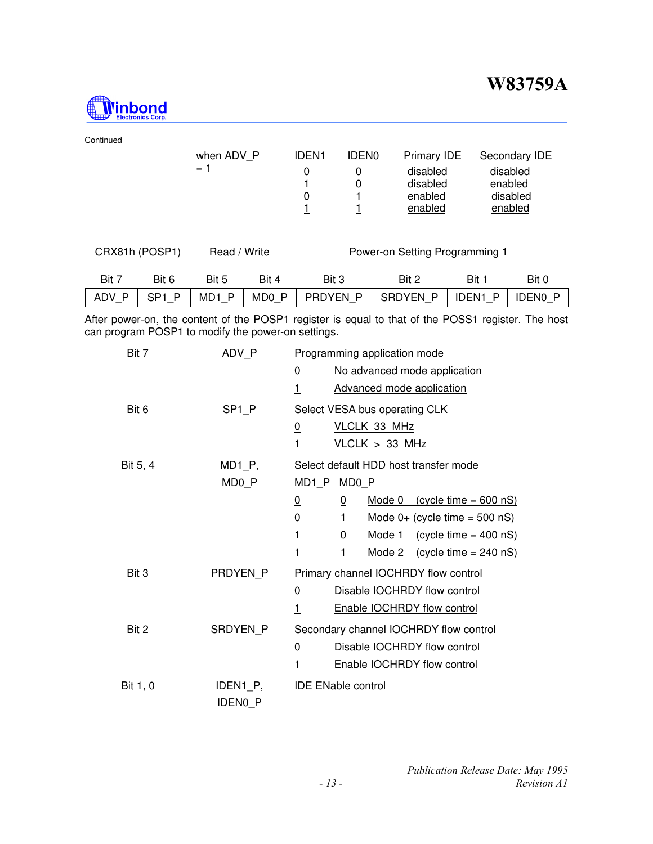

| Continued |                   |                   |                   |                                |              |                 |                |                |  |
|-----------|-------------------|-------------------|-------------------|--------------------------------|--------------|-----------------|----------------|----------------|--|
|           |                   | when ADV P        |                   | <b>IDEN1</b>                   | <b>IDEN0</b> | Primary IDE     |                | Secondary IDE  |  |
|           |                   | $= 1$             |                   | 0                              | 0            | disabled        |                | disabled       |  |
|           |                   |                   |                   | 4                              | 0            | disabled        |                | enabled        |  |
|           |                   |                   |                   | 0                              |              | enabled         |                | disabled       |  |
|           |                   |                   |                   |                                |              | enabled         |                | enabled        |  |
|           |                   |                   |                   |                                |              |                 |                |                |  |
|           | CRX81h (POSP1)    | Read / Write      |                   | Power-on Setting Programming 1 |              |                 |                |                |  |
|           |                   |                   |                   |                                |              |                 |                |                |  |
| Bit 7     | Bit 6             | Bit 5             | Bit 4             | Bit 3                          |              | Bit 2           | Bit 1          | Bit 0          |  |
| ADV P     | SP <sub>1</sub> P | MD <sub>1</sub> P | MD <sub>0</sub> P | PRDYEN P                       |              | <b>SRDYEN P</b> | <b>IDEN1 P</b> | <b>IDENO P</b> |  |
|           |                   |                   |                   |                                |              |                 |                |                |  |

After power-on, the content of the POSP1 register is equal to that of the POSS1 register. The host can program POSP1 to modify the power-on settings.

| Bit 7    | ADV P                      | Programming application mode                          |  |  |  |  |
|----------|----------------------------|-------------------------------------------------------|--|--|--|--|
|          |                            | No advanced mode application<br>0                     |  |  |  |  |
|          |                            | <b>Advanced mode application</b><br>1                 |  |  |  |  |
| Bit 6    | SP <sub>1</sub> P          | Select VESA bus operating CLK                         |  |  |  |  |
|          |                            | VLCLK 33 MHz<br><u>0</u>                              |  |  |  |  |
|          |                            | VLCLK > 33 MHz<br>1                                   |  |  |  |  |
| Bit 5, 4 | $MD1_P$ ,                  | Select default HDD host transfer mode                 |  |  |  |  |
|          | MD0_P                      | MD1_P MD0_P                                           |  |  |  |  |
|          |                            | Mode 0 $(cycle time = 600 nS)$<br>$\overline{0}$<br>0 |  |  |  |  |
|          |                            | 0<br>Mode $0+$ (cycle time = 500 nS)<br>1             |  |  |  |  |
|          |                            | 1<br>0<br>Mode 1 (cycle time = $400$ nS)              |  |  |  |  |
|          |                            | 1<br>$(cycle time = 240 nS)$<br>1<br>Mode 2           |  |  |  |  |
| Bit 3    | PRDYEN P                   | Primary channel IOCHRDY flow control                  |  |  |  |  |
|          |                            | Disable IOCHRDY flow control<br>$\Omega$              |  |  |  |  |
|          |                            | Enable IOCHRDY flow control<br>$\overline{1}$         |  |  |  |  |
| Bit 2    | SRDYEN P                   | Secondary channel IOCHRDY flow control                |  |  |  |  |
|          |                            | Disable IOCHRDY flow control<br>0                     |  |  |  |  |
|          |                            | Enable IOCHRDY flow control<br><u>1</u>               |  |  |  |  |
| Bit 1, 0 | IDEN1_P,<br><b>IDENO P</b> | <b>IDE ENable control</b>                             |  |  |  |  |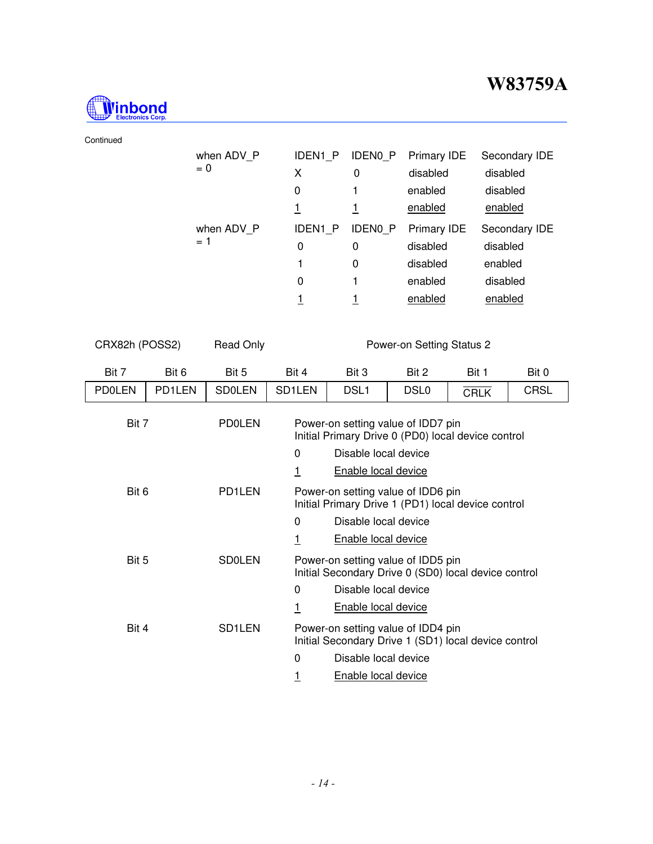

#### Continued

| when ADV P<br>$= 0$ | <b>IDEN1 P</b><br>Χ<br>0<br>1 | <b>IDENO P</b><br>0      | <b>Primary IDE</b><br>disabled<br>enabled<br>enabled             | Secondary IDE<br>disabled<br>disabled<br>enabled            |
|---------------------|-------------------------------|--------------------------|------------------------------------------------------------------|-------------------------------------------------------------|
| when ADV P<br>$= 1$ | IDEN1 P<br>0<br>1<br>0        | <b>IDENO P</b><br>0<br>0 | <b>Primary IDE</b><br>disabled<br>disabled<br>enabled<br>enabled | Secondary IDE<br>disabled<br>enabled<br>disabled<br>enabled |

CRX82h (POSS2) Read Only Power-on Setting Status 2

| Bit 7         | Bit 6  | Bit 5               | Bit 4               | Bit 3                                                                                      | Bit 2            | Bit 1       | Bit 0       |  |
|---------------|--------|---------------------|---------------------|--------------------------------------------------------------------------------------------|------------------|-------------|-------------|--|
| <b>PDOLEN</b> | PD1LEN | <b>SD0LEN</b>       | SD <sub>1</sub> LEN | DSL <sub>1</sub>                                                                           | DSL <sub>0</sub> | <b>CRLK</b> | <b>CRSL</b> |  |
| Bit 7         |        | <b>PD0LEN</b>       |                     | Power-on setting value of IDD7 pin<br>Initial Primary Drive 0 (PD0) local device control   |                  |             |             |  |
|               |        |                     | 0                   | Disable local device                                                                       |                  |             |             |  |
|               |        |                     | 1                   | Enable local device                                                                        |                  |             |             |  |
| Bit 6         |        | PD1LEN              |                     | Power-on setting value of IDD6 pin<br>Initial Primary Drive 1 (PD1) local device control   |                  |             |             |  |
|               |        |                     | 0                   | Disable local device                                                                       |                  |             |             |  |
|               |        |                     | <u>1</u>            | <b>Enable local device</b>                                                                 |                  |             |             |  |
| Bit 5         |        | <b>SD0LEN</b>       |                     | Power-on setting value of IDD5 pin<br>Initial Secondary Drive 0 (SD0) local device control |                  |             |             |  |
|               |        |                     | 0                   | Disable local device                                                                       |                  |             |             |  |
|               |        |                     | 1                   | <b>Enable local device</b>                                                                 |                  |             |             |  |
| Bit 4         |        | SD <sub>1</sub> LEN |                     | Power-on setting value of IDD4 pin<br>Initial Secondary Drive 1 (SD1) local device control |                  |             |             |  |
|               |        |                     | 0                   | Disable local device                                                                       |                  |             |             |  |
|               |        |                     | 1                   | Enable local device                                                                        |                  |             |             |  |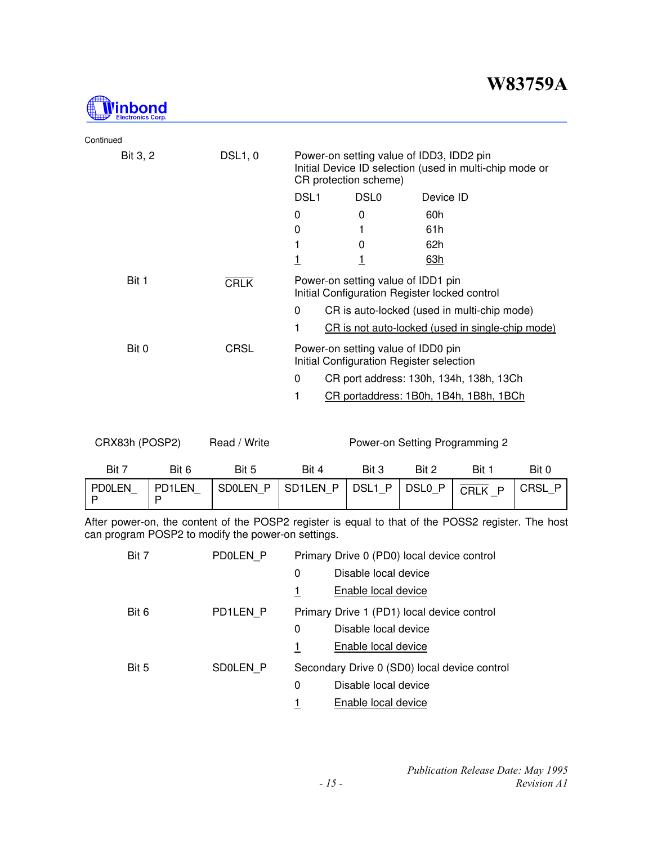

| Continued |                |                                                                                                                              |                  |                                                  |  |  |
|-----------|----------------|------------------------------------------------------------------------------------------------------------------------------|------------------|--------------------------------------------------|--|--|
| Bit 3, 2  | <b>DSL1, 0</b> | Power-on setting value of IDD3, IDD2 pin<br>Initial Device ID selection (used in multi-chip mode or<br>CR protection scheme) |                  |                                                  |  |  |
|           |                | DSL <sub>1</sub>                                                                                                             | DSL <sub>0</sub> | Device ID                                        |  |  |
|           |                | 0                                                                                                                            | 0                | 60h                                              |  |  |
|           |                | 0                                                                                                                            |                  | 61h                                              |  |  |
|           |                | 1                                                                                                                            | 0                | 62h                                              |  |  |
|           |                | <u>1</u>                                                                                                                     |                  | 63h                                              |  |  |
| Bit 1     | <b>CRLK</b>    | Power-on setting value of IDD1 pin<br>Initial Configuration Register locked control                                          |                  |                                                  |  |  |
|           |                | 0<br>CR is auto-locked (used in multi-chip mode)                                                                             |                  |                                                  |  |  |
|           |                | 1                                                                                                                            |                  | CR is not auto-locked (used in single-chip mode) |  |  |
| Bit 0     | <b>CRSL</b>    | Power-on setting value of IDD0 pin<br>Initial Configuration Register selection                                               |                  |                                                  |  |  |
|           |                | $\Omega$                                                                                                                     |                  | CR port address: 130h, 134h, 138h, 13Ch          |  |  |
|           |                | 1                                                                                                                            |                  | CR portaddress: 1B0h, 1B4h, 1B8h, 1BCh           |  |  |
|           |                |                                                                                                                              |                  |                                                  |  |  |

| Bit 7  | Bit 6      | Bit 5 | Bit 4                                                                              | Bit 3 | Bit 2 | Bit | Bit 0 |
|--------|------------|-------|------------------------------------------------------------------------------------|-------|-------|-----|-------|
| PDOLEN | $ $ PD1LEN |       | $ $ SD0LEN_P $ $ SD1LEN_P $ $ DSL1_P $ $ DSL0_P $ $ $\overline{CRLK}$ P $ $ CRSL_P |       |       |     |       |

CRX83h (POSP2) Read / Write Power-on Setting Programming 2

After power-on, the content of the POSP2 register is equal to that of the POSS2 register. The host can program POSP2 to modify the power-on settings.

| Bit 7 | PD0LEN P | Primary Drive 0 (PD0) local device control   |  |  |  |  |
|-------|----------|----------------------------------------------|--|--|--|--|
|       |          | Disable local device<br>0                    |  |  |  |  |
|       |          | Enable local device<br>1                     |  |  |  |  |
| Bit 6 | PD1LEN P | Primary Drive 1 (PD1) local device control   |  |  |  |  |
|       |          | Disable local device<br>0                    |  |  |  |  |
|       |          | Enable local device<br>1                     |  |  |  |  |
| Bit 5 | SD0LEN P | Secondary Drive 0 (SD0) local device control |  |  |  |  |
|       |          | Disable local device<br>0                    |  |  |  |  |
|       |          | Enable local device                          |  |  |  |  |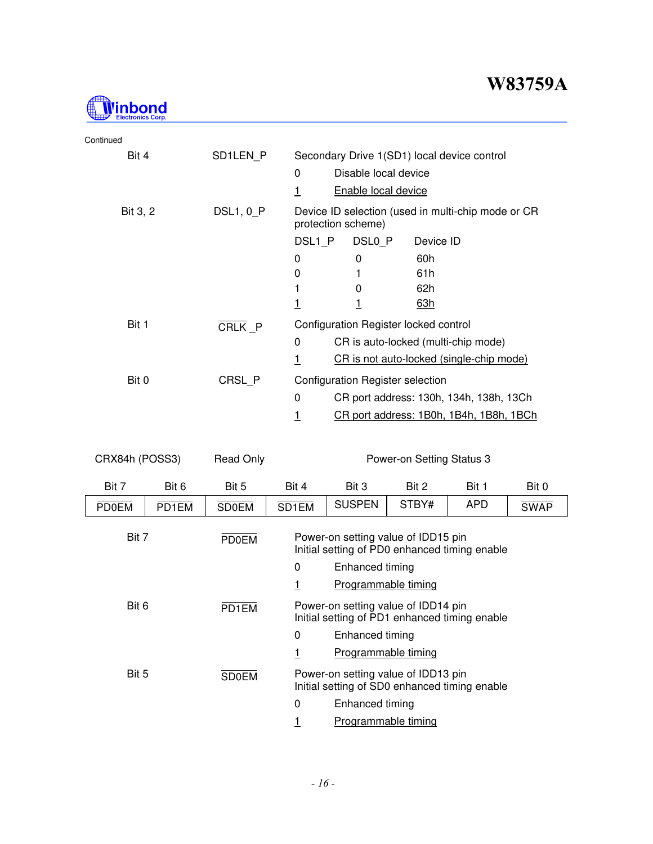

| Continued |                  |                                                                          |  |  |  |
|-----------|------------------|--------------------------------------------------------------------------|--|--|--|
| Bit 4     | SD1LEN P         | Secondary Drive 1(SD1) local device control                              |  |  |  |
|           |                  | Disable local device<br>0                                                |  |  |  |
|           |                  | <b>Enable local device</b><br>1                                          |  |  |  |
| Bit 3, 2  | <b>DSL1, 0 P</b> | Device ID selection (used in multi-chip mode or CR<br>protection scheme) |  |  |  |
|           |                  | DSL1 P<br>DSL <sub>0</sub> P<br>Device ID                                |  |  |  |
|           |                  | 60h<br>0<br>0                                                            |  |  |  |
|           |                  | 61h<br>0                                                                 |  |  |  |
|           |                  | 62h<br>0                                                                 |  |  |  |
|           |                  | <u>63h</u>                                                               |  |  |  |
| Bit 1     | CRLK P           | Configuration Register locked control                                    |  |  |  |
|           |                  | CR is auto-locked (multi-chip mode)<br>0                                 |  |  |  |
|           |                  | CR is not auto-locked (single-chip mode)<br>1                            |  |  |  |
| Bit 0     | CRSL P           | Configuration Register selection                                         |  |  |  |
|           |                  | 0<br>CR port address: 130h, 134h, 138h, 13Ch                             |  |  |  |
|           |                  | CR port address: 1B0h, 1B4h, 1B8h, 1BCh<br>1                             |  |  |  |

| CRX84h (POSS3) |       | <b>Read Only</b> |                                                                                      |                     | Power-on Setting Status 3 |       |             |  |
|----------------|-------|------------------|--------------------------------------------------------------------------------------|---------------------|---------------------------|-------|-------------|--|
| Bit 7          | Bit 6 | Bit 5            | Bit 4                                                                                | Bit 3               | Bit 2                     | Bit 1 | Bit 0       |  |
| <b>PD0EM</b>   | PD1EM | <b>SD0EM</b>     | SD1EM                                                                                | <b>SUSPEN</b>       | STBY#                     | APD   | <b>SWAP</b> |  |
| Bit 7          |       | <b>PD0EM</b>     | Power-on setting value of IDD15 pin<br>Initial setting of PD0 enhanced timing enable |                     |                           |       |             |  |
|                |       |                  | 0                                                                                    | Enhanced timing     |                           |       |             |  |
|                |       |                  |                                                                                      | Programmable timing |                           |       |             |  |
| Bit 6          |       | PD1EM            | Power-on setting value of IDD14 pin<br>Initial setting of PD1 enhanced timing enable |                     |                           |       |             |  |
|                |       |                  | 0                                                                                    | Enhanced timing     |                           |       |             |  |
|                |       |                  | <u>1</u>                                                                             | Programmable timing |                           |       |             |  |
| Bit 5          |       | <b>SD0EM</b>     | Power-on setting value of IDD13 pin<br>Initial setting of SD0 enhanced timing enable |                     |                           |       |             |  |
|                |       |                  | 0                                                                                    | Enhanced timing     |                           |       |             |  |
|                |       |                  |                                                                                      | Programmable timing |                           |       |             |  |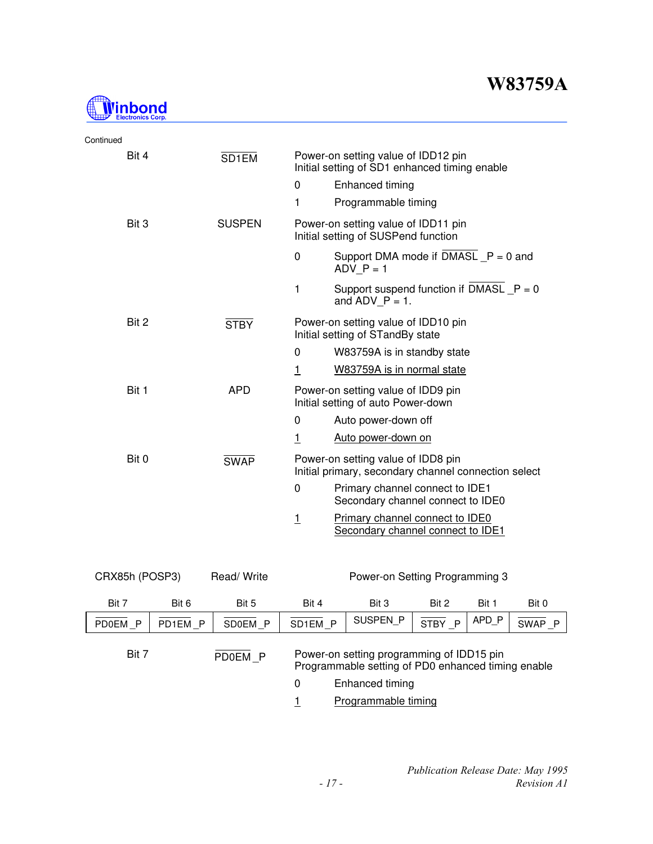

| Continued |                   |                                                                                      |                                                                                            |  |  |
|-----------|-------------------|--------------------------------------------------------------------------------------|--------------------------------------------------------------------------------------------|--|--|
| Bit 4     | SD <sub>1EM</sub> | Power-on setting value of IDD12 pin<br>Initial setting of SD1 enhanced timing enable |                                                                                            |  |  |
|           |                   | $\mathbf{0}$                                                                         | Enhanced timing                                                                            |  |  |
|           |                   | 1                                                                                    | Programmable timing                                                                        |  |  |
| Bit 3     | <b>SUSPEN</b>     |                                                                                      | Power-on setting value of IDD11 pin<br>Initial setting of SUSPend function                 |  |  |
|           |                   | $\mathbf 0$                                                                          | Support DMA mode if $DMASL_P = 0$ and<br>ADV $P = 1$                                       |  |  |
|           |                   | 1                                                                                    | Support suspend function if DMASL $_P = 0$<br>and ADV $P = 1$ .                            |  |  |
| Bit 2     | <b>STBY</b>       | Power-on setting value of IDD10 pin<br>Initial setting of STandBy state              |                                                                                            |  |  |
|           |                   | 0                                                                                    | W83759A is in standby state                                                                |  |  |
|           |                   | $\mathbf{1}$                                                                         | W83759A is in normal state                                                                 |  |  |
| Bit 1     | <b>APD</b>        |                                                                                      | Power-on setting value of IDD9 pin<br>Initial setting of auto Power-down                   |  |  |
|           |                   | 0                                                                                    | Auto power-down off                                                                        |  |  |
|           |                   | $\mathbf{1}$                                                                         | Auto power-down on                                                                         |  |  |
| Bit 0     | <b>SWAP</b>       |                                                                                      | Power-on setting value of IDD8 pin<br>Initial primary, secondary channel connection select |  |  |
|           |                   | 0                                                                                    | Primary channel connect to IDE1<br>Secondary channel connect to IDE0                       |  |  |
|           |                   | <u> 1</u>                                                                            | Primary channel connect to IDE0<br>Secondary channel connect to IDE1                       |  |  |

| CRX85h (POSP3) |         | Read/Write |                      |                                                                                                                                           |        |       |        |
|----------------|---------|------------|----------------------|-------------------------------------------------------------------------------------------------------------------------------------------|--------|-------|--------|
| Bit 7          | Bit 6   | Bit 5      | Bit 4                | Bit 3                                                                                                                                     | Bit 2  | Bit 1 | Bit 0  |
| PD0EM P        | PD1EM P | SD0EM P    | SD <sub>1</sub> EM P | SUSPEN P                                                                                                                                  | STBY P | APD P | SWAP P |
| Bit 7          |         | PD0EM P    | 0                    | Power-on setting programming of IDD15 pin<br>Programmable setting of PD0 enhanced timing enable<br>Enhanced timing<br>Programmable timing |        |       |        |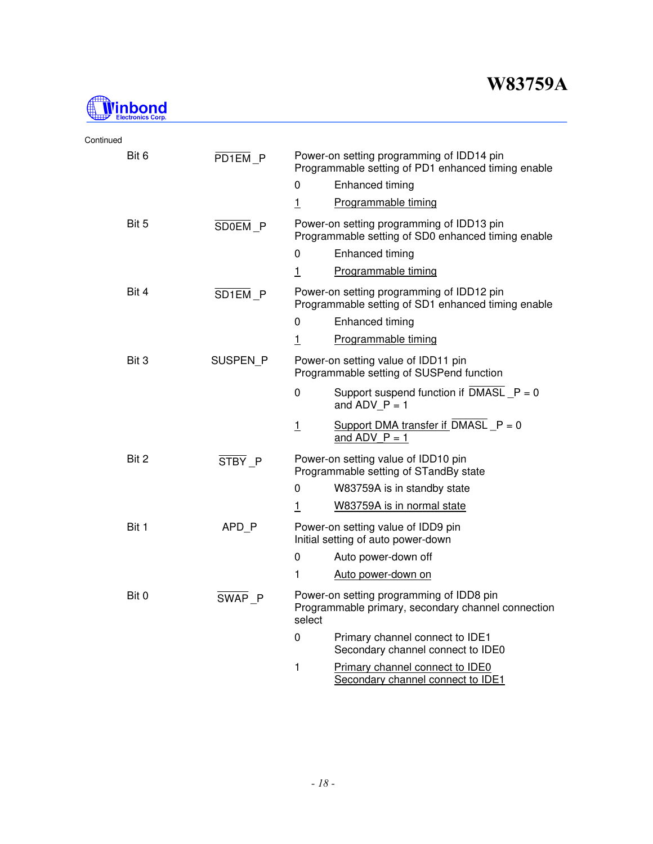

| Continued |                    |                |                                                                                                 |
|-----------|--------------------|----------------|-------------------------------------------------------------------------------------------------|
| Bit 6     | PD1EM P            |                | Power-on setting programming of IDD14 pin<br>Programmable setting of PD1 enhanced timing enable |
|           |                    | 0              | Enhanced timing                                                                                 |
|           |                    | $\overline{1}$ | Programmable timing                                                                             |
| Bit 5     | SDOEM <sub>P</sub> |                | Power-on setting programming of IDD13 pin<br>Programmable setting of SD0 enhanced timing enable |
|           |                    | 0              | Enhanced timing                                                                                 |
|           |                    | $\overline{1}$ | Programmable timing                                                                             |
| Bit 4     | SD1EM P            |                | Power-on setting programming of IDD12 pin<br>Programmable setting of SD1 enhanced timing enable |
|           |                    | 0              | Enhanced timing                                                                                 |
|           |                    | $\overline{1}$ | Programmable timing                                                                             |
| Bit 3     | SUSPEN P           |                | Power-on setting value of IDD11 pin<br>Programmable setting of SUSPend function                 |
|           |                    | 0              | Support suspend function if $DMASL_P = 0$<br>and $ADV_P = 1$                                    |
|           |                    | $\overline{1}$ | Support DMA transfer if $DMASL_P = 0$<br>and ADV $P = 1$                                        |
| Bit 2     | STBY P             |                | Power-on setting value of IDD10 pin<br>Programmable setting of STandBy state                    |
|           |                    | 0              | W83759A is in standby state                                                                     |
|           |                    | $\overline{1}$ | W83759A is in normal state                                                                      |
| Bit 1     | APD P              |                | Power-on setting value of IDD9 pin<br>Initial setting of auto power-down                        |
|           |                    | 0              | Auto power-down off                                                                             |
|           |                    | 1              | Auto power-down on                                                                              |
| Bit 0     | SWAP P             | select         | Power-on setting programming of IDD8 pin<br>Programmable primary, secondary channel connection  |
|           |                    | 0              | Primary channel connect to IDE1<br>Secondary channel connect to IDE0                            |
|           |                    | 1              | Primary channel connect to IDE0<br>Secondary channel connect to IDE1                            |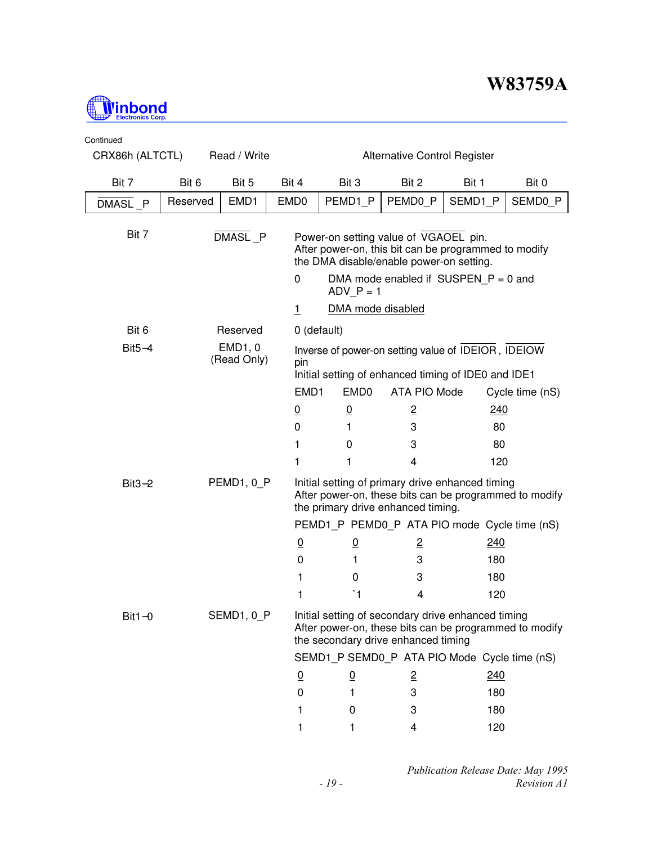

| Continued |                                                                        |                        |                  |                                                                                                                                                     |                                        |            |                 |  |
|-----------|------------------------------------------------------------------------|------------------------|------------------|-----------------------------------------------------------------------------------------------------------------------------------------------------|----------------------------------------|------------|-----------------|--|
|           | CRX86h (ALTCTL)<br>Read / Write<br><b>Alternative Control Register</b> |                        |                  |                                                                                                                                                     |                                        |            |                 |  |
| Bit 7     | Bit 6                                                                  | Bit 5                  | Bit 4            | Bit 3                                                                                                                                               | Bit 2                                  | Bit 1      | Bit 0           |  |
| DMASL P   | Reserved                                                               | EMD1                   | EMD <sub>0</sub> | PEMD1 P                                                                                                                                             | PEMD0 P                                | SEMD1 P    | SEMD0 P         |  |
| Bit 7     |                                                                        | DMASL P                |                  | Power-on setting value of VGAOEL pin.<br>After power-on, this bit can be programmed to modify<br>the DMA disable/enable power-on setting.           |                                        |            |                 |  |
|           |                                                                        |                        | 0                | $ADV_P = 1$                                                                                                                                         | DMA mode enabled if SUSPEN $P = 0$ and |            |                 |  |
|           |                                                                        |                        | $\overline{1}$   | DMA mode disabled                                                                                                                                   |                                        |            |                 |  |
| Bit 6     |                                                                        | Reserved               |                  | 0 (default)                                                                                                                                         |                                        |            |                 |  |
| $Bit5-4$  |                                                                        | EMD1, 0<br>(Read Only) | pin              | Inverse of power-on setting value of IDEIOR, IDEIOW<br>Initial setting of enhanced timing of IDE0 and IDE1                                          |                                        |            |                 |  |
|           |                                                                        |                        | EMD1             | EMD <sub>0</sub>                                                                                                                                    | ATA PIO Mode                           |            | Cycle time (nS) |  |
|           |                                                                        |                        | $\overline{0}$   | $\underline{0}$                                                                                                                                     | $\overline{2}$                         | <u>240</u> |                 |  |
|           |                                                                        |                        | 0                | 1                                                                                                                                                   | 3                                      | 80         |                 |  |
|           |                                                                        |                        | 1                | 0                                                                                                                                                   | 3                                      | 80         |                 |  |
|           |                                                                        |                        | 1                | 1                                                                                                                                                   | 4                                      | 120        |                 |  |
| $Bit3-2$  |                                                                        | PEMD1, 0_P             |                  | Initial setting of primary drive enhanced timing<br>After power-on, these bits can be programmed to modify<br>the primary drive enhanced timing.    |                                        |            |                 |  |
|           |                                                                        |                        |                  | PEMD1_P PEMD0_P ATA PIO mode Cycle time (nS)                                                                                                        |                                        |            |                 |  |
|           |                                                                        |                        | $\overline{0}$   | $\overline{0}$                                                                                                                                      | $\overline{z}$                         | 240        |                 |  |
|           |                                                                        |                        | 0                | 1                                                                                                                                                   | 3                                      | 180        |                 |  |
|           |                                                                        |                        | 1                | 0                                                                                                                                                   | 3                                      | 180        |                 |  |
|           |                                                                        |                        | 1                | $\mathbf{A}$                                                                                                                                        | 4                                      | 120        |                 |  |
| $Bit1-0$  |                                                                        | SEMD1, 0_P             |                  | Initial setting of secondary drive enhanced timing<br>After power-on, these bits can be programmed to modify<br>the secondary drive enhanced timing |                                        |            |                 |  |
|           |                                                                        |                        |                  | SEMD1_P SEMD0_P ATA PIO Mode Cycle time (nS)                                                                                                        |                                        |            |                 |  |
|           |                                                                        |                        | $\overline{0}$   | <u>0</u>                                                                                                                                            | $\overline{2}$                         | 240        |                 |  |
|           |                                                                        |                        | 0                | 1                                                                                                                                                   | 3                                      | 180        |                 |  |
|           |                                                                        |                        | 1                | 0                                                                                                                                                   | 3                                      | 180        |                 |  |
|           |                                                                        |                        | 1                | 1                                                                                                                                                   | 4                                      | 120        |                 |  |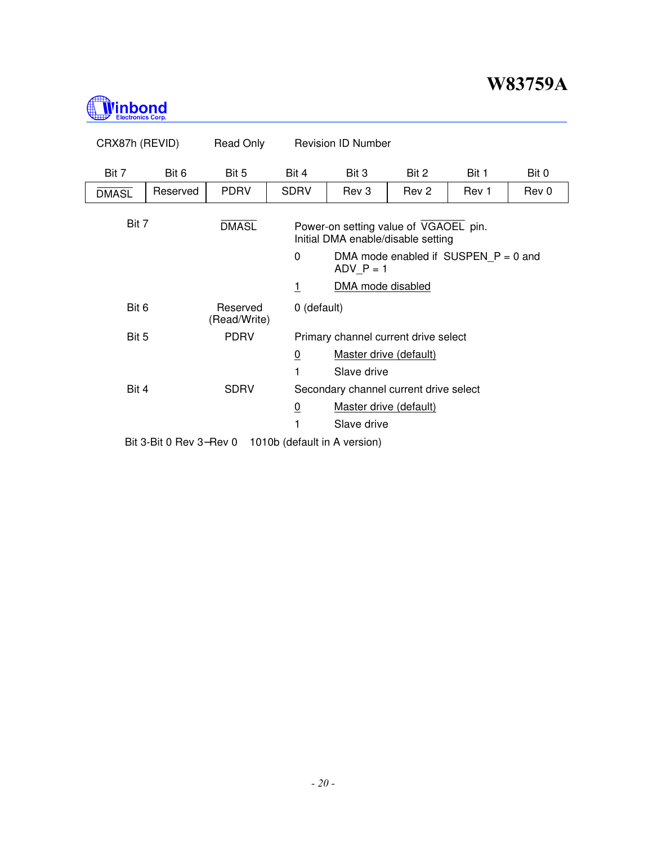

| CRX87h (REVID) |                         | Read Only                |                                                                                         | <b>Revision ID Number</b>                             |       |       |       |  |  |  |
|----------------|-------------------------|--------------------------|-----------------------------------------------------------------------------------------|-------------------------------------------------------|-------|-------|-------|--|--|--|
| Bit 7          | Bit 6                   | Bit 5                    | Bit 4                                                                                   | Bit 3                                                 | Bit 2 | Bit 1 | Bit 0 |  |  |  |
| <b>DMASL</b>   | Reserved                | <b>PDRV</b>              | <b>SDRV</b>                                                                             | Rev 3                                                 | Rev 2 | Rev 1 | Rev 0 |  |  |  |
| Bit 7          |                         | <b>DMASL</b>             | Power-on setting value of VGAOEL pin.<br>Initial DMA enable/disable setting<br>$\Omega$ |                                                       |       |       |       |  |  |  |
|                |                         |                          |                                                                                         | DMA mode enabled if $SUSPEN_P = 0$ and<br>$ADV_P = 1$ |       |       |       |  |  |  |
|                |                         |                          | 1                                                                                       | DMA mode disabled                                     |       |       |       |  |  |  |
| Bit 6          |                         | Reserved<br>(Read/Write) | 0 (default)                                                                             |                                                       |       |       |       |  |  |  |
| Bit 5          |                         | <b>PDRV</b>              |                                                                                         | Primary channel current drive select                  |       |       |       |  |  |  |
|                |                         |                          | $\overline{0}$                                                                          | Master drive (default)                                |       |       |       |  |  |  |
|                |                         |                          | 1                                                                                       | Slave drive                                           |       |       |       |  |  |  |
| Bit 4          |                         | <b>SDRV</b>              |                                                                                         | Secondary channel current drive select                |       |       |       |  |  |  |
|                |                         |                          | $\overline{0}$                                                                          | Master drive (default)                                |       |       |       |  |  |  |
|                |                         |                          |                                                                                         | Slave drive                                           |       |       |       |  |  |  |
|                | Bit 3-Bit 0 Rev 3-Rev 0 |                          | 1010b (default in A version)                                                            |                                                       |       |       |       |  |  |  |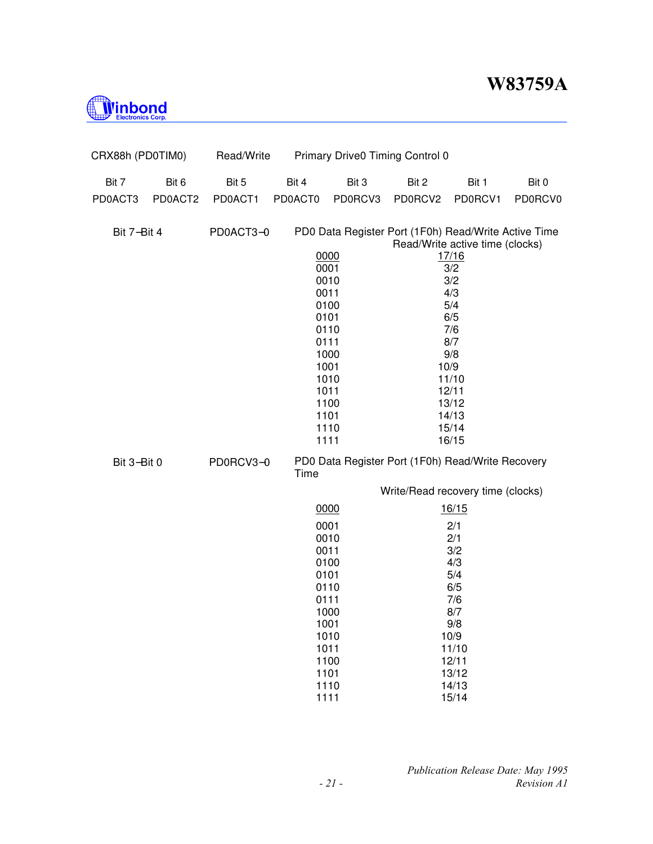

| CRX88h (PD0TIM0) |         | Read/Write |         |              | Primary Drive0 Timing Control 0                      |                                 |         |
|------------------|---------|------------|---------|--------------|------------------------------------------------------|---------------------------------|---------|
| Bit 7            | Bit 6   | Bit 5      | Bit 4   | Bit 3        | Bit 2                                                | Bit 1                           | Bit 0   |
| PD0ACT3          | PD0ACT2 | PD0ACT1    | PD0ACT0 | PD0RCV3      | PD0RCV2                                              | PD0RCV1                         | PD0RCV0 |
| Bit 7-Bit 4      |         | PD0ACT3-0  |         |              | PD0 Data Register Port (1F0h) Read/Write Active Time | Read/Write active time (clocks) |         |
|                  |         |            |         | 0000         |                                                      | 17/16                           |         |
|                  |         |            |         | 0001         |                                                      | 3/2                             |         |
|                  |         |            |         | 0010         |                                                      | 3/2                             |         |
|                  |         |            |         | 0011         |                                                      | 4/3                             |         |
|                  |         |            |         | 0100<br>0101 |                                                      | 5/4<br>6/5                      |         |
|                  |         |            |         | 0110         |                                                      | 7/6                             |         |
|                  |         |            |         | 0111         |                                                      | 8/7                             |         |
|                  |         |            |         | 1000         |                                                      | 9/8                             |         |
|                  |         |            |         | 1001         |                                                      | 10/9                            |         |
|                  |         |            |         | 1010         |                                                      | 11/10                           |         |
|                  |         |            |         | 1011         |                                                      | 12/11                           |         |
|                  |         |            |         | 1100<br>1101 |                                                      | 13/12<br>14/13                  |         |
|                  |         |            |         | 1110         |                                                      | 15/14                           |         |
|                  |         |            |         | 1111         |                                                      | 16/15                           |         |
| Bit 3-Bit 0      |         | PD0RCV3-0  | Time    |              | PD0 Data Register Port (1F0h) Read/Write Recovery    |                                 |         |
|                  |         |            |         |              | Write/Read recovery time (clocks)                    |                                 |         |
|                  |         |            |         | 0000         |                                                      | 16/15                           |         |
|                  |         |            |         | 0001         |                                                      | 2/1                             |         |
|                  |         |            |         | 0010         |                                                      | 2/1                             |         |
|                  |         |            |         | 0011         |                                                      | 3/2                             |         |
|                  |         |            |         | 0100         |                                                      | 4/3                             |         |
|                  |         |            |         | 0101<br>0110 |                                                      | 5/4<br>6/5                      |         |
|                  |         |            |         | 0111         |                                                      | 7/6                             |         |
|                  |         |            |         | 1000         |                                                      | 8/7                             |         |
|                  |         |            |         | 1001         |                                                      | 9/8                             |         |
|                  |         |            |         | 1010         |                                                      | 10/9                            |         |
|                  |         |            |         | 1011         |                                                      | 11/10                           |         |
|                  |         |            |         | 1100         |                                                      | 12/11                           |         |
|                  |         |            |         | 1101         |                                                      | 13/12                           |         |
|                  |         |            |         | 1110<br>1111 |                                                      | 14/13<br>15/14                  |         |
|                  |         |            |         |              |                                                      |                                 |         |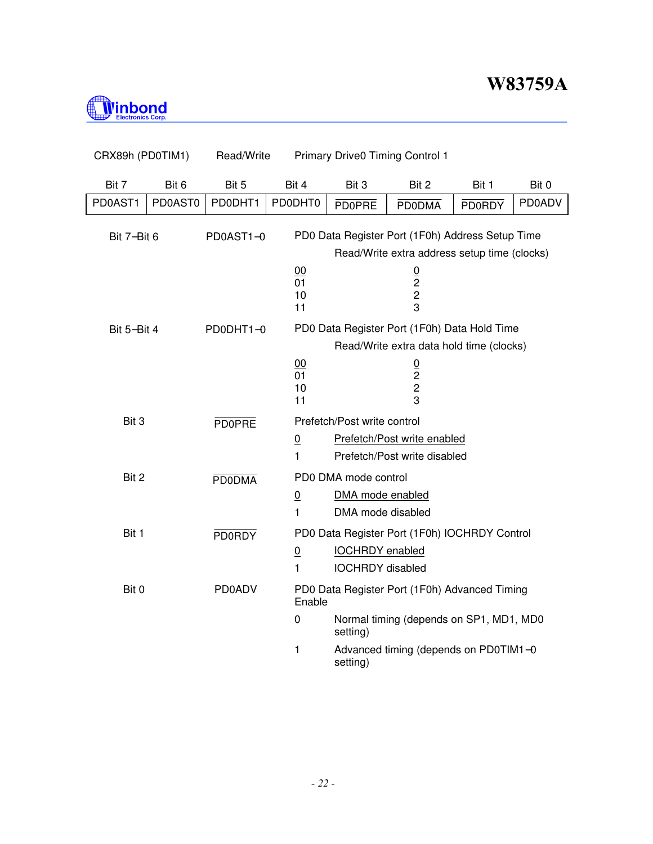

 $\overline{\phantom{a}}$ 

| CRX89h (PD0TIM1) |         | Read/Write    |                                   |                                                               | <b>Primary Drive0 Timing Control 1</b>                                                                                            |               |               |
|------------------|---------|---------------|-----------------------------------|---------------------------------------------------------------|-----------------------------------------------------------------------------------------------------------------------------------|---------------|---------------|
| Bit 7            | Bit 6   | Bit 5         | Bit 4                             | Bit 3                                                         | Bit 2                                                                                                                             | Bit 1         | Bit 0         |
| PD0AST1          | PD0AST0 | PD0DHT1       | PD0DHT0                           | <b>PD0PRE</b>                                                 | <b>PD0DMA</b>                                                                                                                     | <b>PD0RDY</b> | <b>PD0ADV</b> |
| Bit 7-Bit 6      |         | PD0AST1-0     |                                   |                                                               | PD0 Data Register Port (1F0h) Address Setup Time                                                                                  |               |               |
|                  |         |               | 00<br>$\overline{01}$<br>10<br>11 |                                                               | Read/Write extra address setup time (clocks)<br>$\frac{0}{2}$<br>$\overline{\mathbf{c}}$<br>3                                     |               |               |
| Bit 5-Bit 4      |         | PD0DHT1-0     | 00<br>01<br>10<br>11              |                                                               | PD0 Data Register Port (1F0h) Data Hold Time<br>Read/Write extra data hold time (clocks)<br>$\frac{0}{2}$<br>$\overline{c}$<br>3  |               |               |
| Bit 3            |         | <b>PD0PRE</b> | <u>0</u><br>$\mathbf{1}$          | Prefetch/Post write control                                   | Prefetch/Post write enabled<br>Prefetch/Post write disabled                                                                       |               |               |
| Bit 2            |         | <b>PD0DMA</b> | $\underline{0}$<br>1              | PD0 DMA mode control<br>DMA mode enabled<br>DMA mode disabled |                                                                                                                                   |               |               |
| Bit 1            |         | <b>PD0RDY</b> | $\underline{0}$<br>1              | <b>IOCHRDY</b> enabled<br><b>IOCHRDY</b> disabled             | PD0 Data Register Port (1F0h) IOCHRDY Control                                                                                     |               |               |
| Bit 0            |         | <b>PD0ADV</b> | Enable<br>0<br>1                  | setting)<br>setting)                                          | PD0 Data Register Port (1F0h) Advanced Timing<br>Normal timing (depends on SP1, MD1, MD0<br>Advanced timing (depends on PD0TIM1-0 |               |               |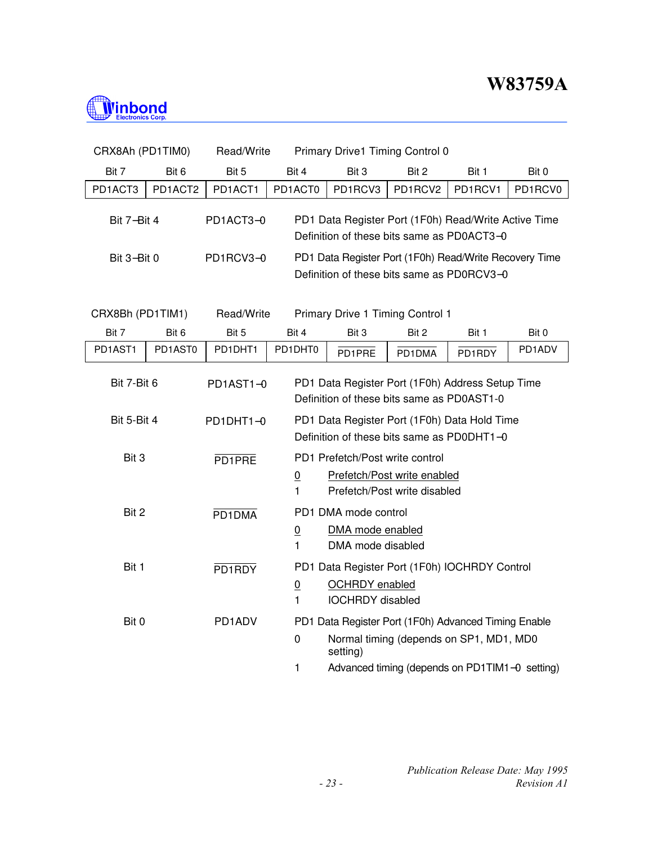

| CRX8Ah (PD1TIM0)                                                   |         | Read/Write |                                                                                                |                                                               | Primary Drive1 Timing Control 0                                                                                                                   |         |         |  |  |
|--------------------------------------------------------------------|---------|------------|------------------------------------------------------------------------------------------------|---------------------------------------------------------------|---------------------------------------------------------------------------------------------------------------------------------------------------|---------|---------|--|--|
| Bit 7                                                              | Bit 6   | Bit 5      | Bit 4                                                                                          | Bit 3                                                         | Bit 2                                                                                                                                             | Bit 1   | Bit 0   |  |  |
| PD1ACT3                                                            | PD1ACT2 | PD1ACT1    | PD1ACT0                                                                                        | PD1RCV3                                                       | PD1RCV2                                                                                                                                           | PD1RCV1 | PD1RCV0 |  |  |
| Bit 7-Bit 4                                                        |         | PD1ACT3-0  |                                                                                                |                                                               | PD1 Data Register Port (1F0h) Read/Write Active Time<br>Definition of these bits same as PD0ACT3-0                                                |         |         |  |  |
| Bit 3-Bit 0                                                        |         | PD1RCV3-0  |                                                                                                |                                                               | PD1 Data Register Port (1F0h) Read/Write Recovery Time<br>Definition of these bits same as PD0RCV3-0                                              |         |         |  |  |
| Read/Write<br>Primary Drive 1 Timing Control 1<br>CRX8Bh (PD1TIM1) |         |            |                                                                                                |                                                               |                                                                                                                                                   |         |         |  |  |
| Bit 7                                                              | Bit 6   | Bit 5      | Bit 4                                                                                          | Bit 3                                                         | Bit 2                                                                                                                                             | Bit 1   | Bit 0   |  |  |
| PD1AST1                                                            | PD1AST0 | PD1DHT1    | PD1DHT0                                                                                        | PD1PRE                                                        | PD1DMA                                                                                                                                            | PD1RDY  | PD1ADV  |  |  |
| Bit 7-Bit 6                                                        |         | PD1AST1-0  | PD1 Data Register Port (1F0h) Address Setup Time<br>Definition of these bits same as PD0AST1-0 |                                                               |                                                                                                                                                   |         |         |  |  |
| Bit 5-Bit 4                                                        |         | PD1DHT1-0  |                                                                                                |                                                               | PD1 Data Register Port (1F0h) Data Hold Time<br>Definition of these bits same as PD0DHT1-0                                                        |         |         |  |  |
| Bit 3                                                              |         | PD1PRE     | $\overline{0}$<br>1                                                                            | PD1 Prefetch/Post write control                               | Prefetch/Post write enabled<br>Prefetch/Post write disabled                                                                                       |         |         |  |  |
| Bit 2                                                              |         | PD1DMA     | $\underline{0}$<br>1                                                                           | PD1 DMA mode control<br>DMA mode enabled<br>DMA mode disabled |                                                                                                                                                   |         |         |  |  |
| Bit 1                                                              |         | PD1RDY     | $\overline{0}$<br>1                                                                            | <b>OCHRDY</b> enabled<br><b>IOCHRDY</b> disabled              | PD1 Data Register Port (1F0h) IOCHRDY Control                                                                                                     |         |         |  |  |
| Bit 0                                                              |         | PD1ADV     | $\pmb{0}$<br>1                                                                                 | setting)                                                      | PD1 Data Register Port (1F0h) Advanced Timing Enable<br>Normal timing (depends on SP1, MD1, MD0<br>Advanced timing (depends on PD1TIM1-0 setting) |         |         |  |  |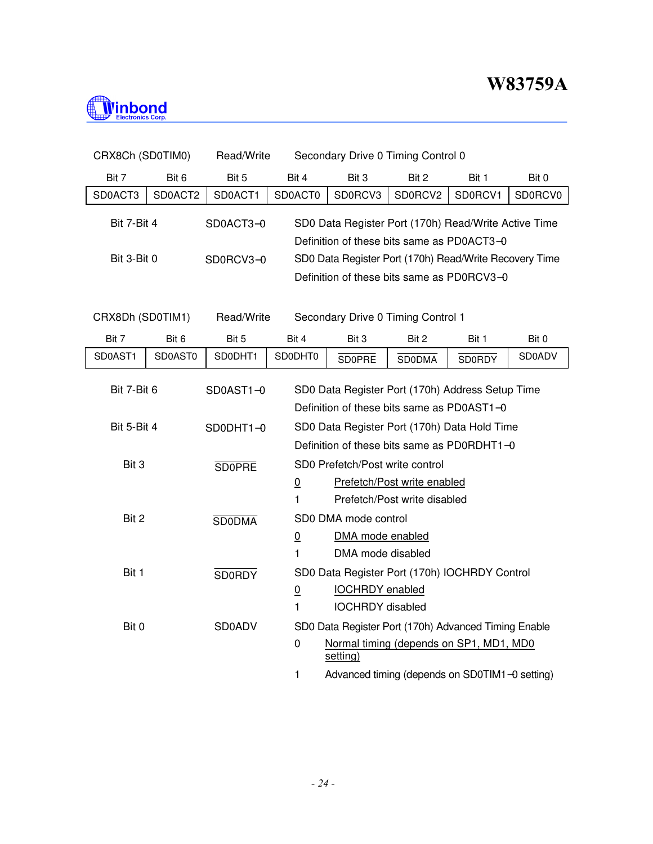

| CRX8Ch (SD0TIM0) |         | Read/Write    |                                                                                                | Secondary Drive 0 Timing Control 0 |                                                                                                 |               |               |  |  |
|------------------|---------|---------------|------------------------------------------------------------------------------------------------|------------------------------------|-------------------------------------------------------------------------------------------------|---------------|---------------|--|--|
| Bit 7            | Bit 6   | Bit 5         | Bit 4                                                                                          | Bit 3                              | Bit 2                                                                                           | Bit 1         | Bit 0         |  |  |
| SD0ACT3          | SD0ACT2 | SD0ACT1       | SD0ACT0                                                                                        | SD0RCV3                            | SD0RCV2                                                                                         | SD0RCV1       | SD0RCV0       |  |  |
| Bit 7-Bit 4      |         | SD0ACT3-0     |                                                                                                |                                    | SD0 Data Register Port (170h) Read/Write Active Time                                            |               |               |  |  |
|                  |         |               |                                                                                                |                                    | Definition of these bits same as PD0ACT3-0                                                      |               |               |  |  |
| Bit 3-Bit 0      |         | SD0RCV3-0     |                                                                                                |                                    | SD0 Data Register Port (170h) Read/Write Recovery Time                                          |               |               |  |  |
|                  |         |               |                                                                                                |                                    | Definition of these bits same as PD0RCV3-0                                                      |               |               |  |  |
| CRX8Dh (SD0TIM1) |         | Read/Write    | Secondary Drive 0 Timing Control 1                                                             |                                    |                                                                                                 |               |               |  |  |
| Bit 7            | Bit 6   | Bit 5         | Bit 4                                                                                          | Bit 3<br>Bit 2<br>Bit 1<br>Bit 0   |                                                                                                 |               |               |  |  |
| SD0AST1          | SD0AST0 | SD0DHT1       | SD0DHT0                                                                                        | <b>SD0PRE</b>                      | <b>SD0DMA</b>                                                                                   | <b>SD0RDY</b> | <b>SD0ADV</b> |  |  |
| Bit 7-Bit 6      |         | SD0AST1-0     | SD0 Data Register Port (170h) Address Setup Time<br>Definition of these bits same as PD0AST1-0 |                                    |                                                                                                 |               |               |  |  |
| Bit 5-Bit 4      |         | SD0DHT1-0     |                                                                                                |                                    | SD0 Data Register Port (170h) Data Hold Time                                                    |               |               |  |  |
|                  |         |               |                                                                                                |                                    | Definition of these bits same as PD0RDHT1-0                                                     |               |               |  |  |
| Bit 3            |         | <b>SD0PRE</b> |                                                                                                | SD0 Prefetch/Post write control    |                                                                                                 |               |               |  |  |
|                  |         |               | $\overline{0}$                                                                                 |                                    | Prefetch/Post write enabled                                                                     |               |               |  |  |
|                  |         |               | 1                                                                                              |                                    | Prefetch/Post write disabled                                                                    |               |               |  |  |
| Bit 2            |         | <b>SDODMA</b> |                                                                                                | SD0 DMA mode control               |                                                                                                 |               |               |  |  |
|                  |         |               | $\underline{0}$                                                                                | DMA mode enabled                   |                                                                                                 |               |               |  |  |
|                  |         |               | 1                                                                                              | DMA mode disabled                  |                                                                                                 |               |               |  |  |
| Bit 1            |         | <b>SD0RDY</b> |                                                                                                |                                    | SD0 Data Register Port (170h) IOCHRDY Control                                                   |               |               |  |  |
|                  |         |               | $\overline{0}$                                                                                 | <b>IOCHRDY</b> enabled             |                                                                                                 |               |               |  |  |
|                  |         | <b>SD0ADV</b> | 1                                                                                              | <b>IOCHRDY</b> disabled            |                                                                                                 |               |               |  |  |
| Bit 0            |         |               | $\mathbf 0$                                                                                    | setting)                           | SD0 Data Register Port (170h) Advanced Timing Enable<br>Normal timing (depends on SP1, MD1, MD0 |               |               |  |  |
|                  |         |               | $\mathbf{1}$                                                                                   |                                    | Advanced timing (depends on SD0TIM1-0 setting)                                                  |               |               |  |  |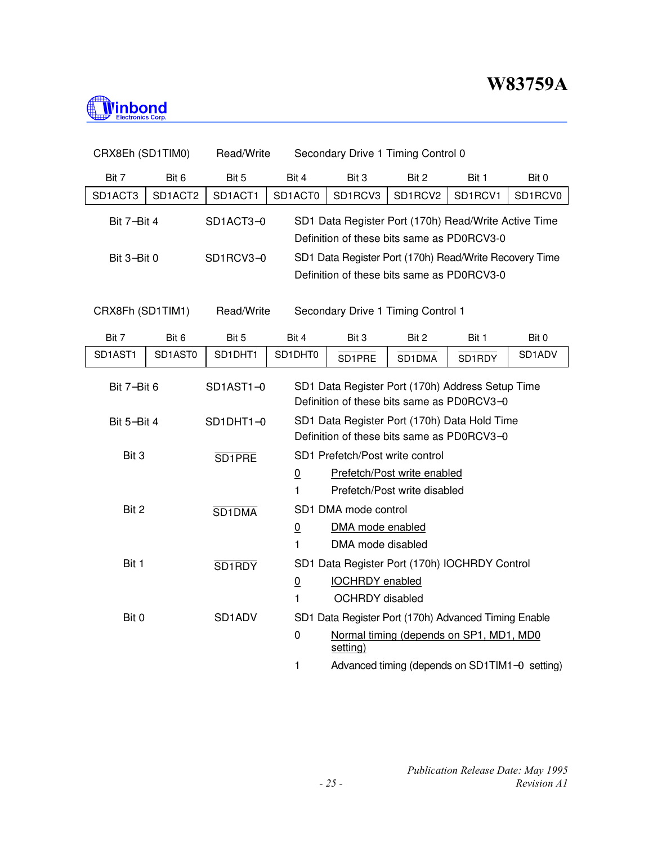

| CRX8Eh (SD1TIM0) |                          | Read/Write          |                                    |                                                        | Secondary Drive 1 Timing Control 0             |         |         |  |  |  |  |
|------------------|--------------------------|---------------------|------------------------------------|--------------------------------------------------------|------------------------------------------------|---------|---------|--|--|--|--|
| Bit 7            | Bit 6                    | Bit 5               | Bit 4                              | Bit 3                                                  | Bit 2                                          | Bit 1   | Bit 0   |  |  |  |  |
| SD1ACT3          | SD1ACT2                  | SD1ACT1             | SD1ACT0                            | SD1RCV3                                                | SD1RCV2                                        | SD1RCV1 | SD1RCV0 |  |  |  |  |
| Bit 7-Bit 4      |                          | SD1ACT3-0           |                                    | SD1 Data Register Port (170h) Read/Write Active Time   |                                                |         |         |  |  |  |  |
|                  |                          |                     |                                    | Definition of these bits same as PD0RCV3-0             |                                                |         |         |  |  |  |  |
|                  | SD1RCV3-0<br>Bit 3-Bit 0 |                     |                                    | SD1 Data Register Port (170h) Read/Write Recovery Time |                                                |         |         |  |  |  |  |
|                  |                          |                     |                                    | Definition of these bits same as PD0RCV3-0             |                                                |         |         |  |  |  |  |
|                  |                          |                     |                                    |                                                        |                                                |         |         |  |  |  |  |
| CRX8Fh (SD1TIM1) |                          | Read/Write          | Secondary Drive 1 Timing Control 1 |                                                        |                                                |         |         |  |  |  |  |
| Bit 7            | Bit 6                    | Bit 5               | Bit 4                              | Bit 3                                                  | Bit 2                                          | Bit 1   | Bit 0   |  |  |  |  |
| SD1AST1          | SD1AST0                  | SD1DHT1             | SD1DHT0                            | SD1PRE                                                 | SD1DMA                                         | SD1RDY  | SD1ADV  |  |  |  |  |
|                  |                          | SD1AST1-0           |                                    | SD1 Data Register Port (170h) Address Setup Time       |                                                |         |         |  |  |  |  |
| Bit 7-Bit 6      |                          |                     |                                    | Definition of these bits same as PD0RCV3-0             |                                                |         |         |  |  |  |  |
| Bit 5-Bit 4      |                          | SD1DHT1-0           |                                    | SD1 Data Register Port (170h) Data Hold Time           |                                                |         |         |  |  |  |  |
|                  |                          |                     |                                    | Definition of these bits same as PD0RCV3-0             |                                                |         |         |  |  |  |  |
| Bit 3            |                          | SD <sub>1PRE</sub>  |                                    | SD1 Prefetch/Post write control                        |                                                |         |         |  |  |  |  |
|                  |                          |                     | $\underline{0}$                    |                                                        | Prefetch/Post write enabled                    |         |         |  |  |  |  |
|                  |                          |                     | 1                                  |                                                        | Prefetch/Post write disabled                   |         |         |  |  |  |  |
| Bit 2            |                          | SD <sub>1</sub> DMA |                                    | SD1 DMA mode control                                   |                                                |         |         |  |  |  |  |
|                  |                          |                     | $\overline{0}$                     | DMA mode enabled                                       |                                                |         |         |  |  |  |  |
|                  |                          |                     | 1                                  | DMA mode disabled                                      |                                                |         |         |  |  |  |  |
| Bit 1            |                          | SD <sub>1</sub> RDY |                                    | SD1 Data Register Port (170h) IOCHRDY Control          |                                                |         |         |  |  |  |  |
|                  |                          |                     | $\underline{0}$                    | <b>IOCHRDY</b> enabled                                 |                                                |         |         |  |  |  |  |
|                  |                          |                     | 1                                  | OCHRDY disabled                                        |                                                |         |         |  |  |  |  |
| Bit 0            |                          | SD1ADV              |                                    | SD1 Data Register Port (170h) Advanced Timing Enable   |                                                |         |         |  |  |  |  |
|                  |                          |                     | 0                                  | setting)                                               | Normal timing (depends on SP1, MD1, MD0        |         |         |  |  |  |  |
|                  |                          |                     | 1                                  |                                                        | Advanced timing (depends on SD1TIM1-0 setting) |         |         |  |  |  |  |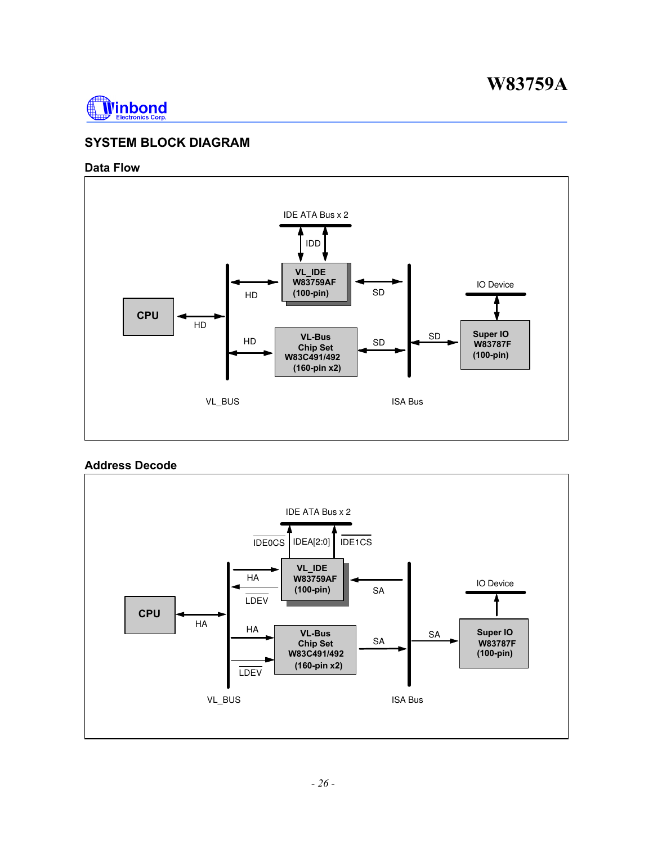

### **SYSTEM BLOCK DIAGRAM**

#### **Data Flow**



#### **Address Decode**

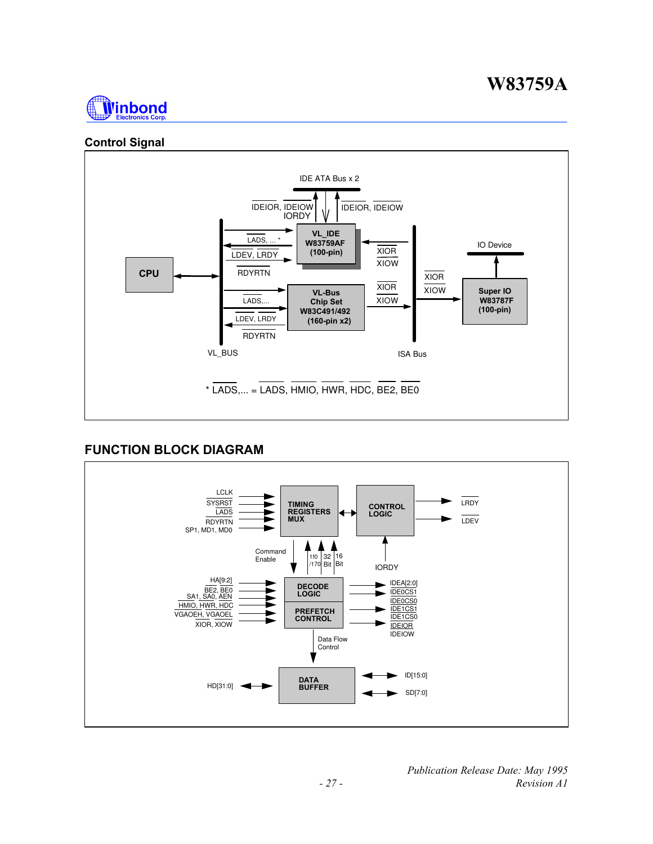

### **Control Signal**



### **FUNCTION BLOCK DIAGRAM**

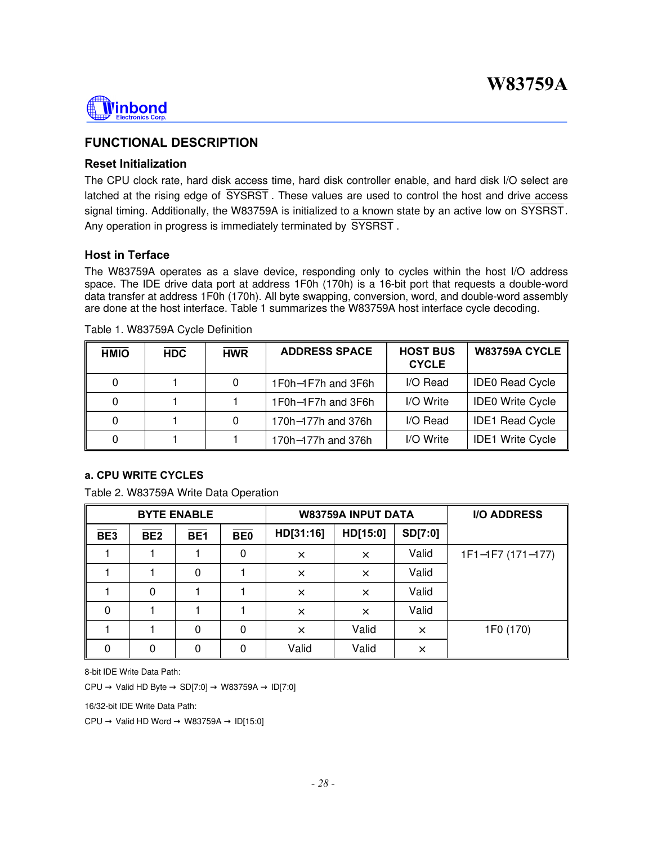

### **FUNCTIONAL DESCRIPTION**

#### **Reset Initialization**

The CPU clock rate, hard disk access time, hard disk controller enable, and hard disk I/O select are latched at the rising edge of SYSRST . These values are used to control the host and drive access signal timing. Additionally, the W83759A is initialized to a known state by an active low on SYSRST. Any operation in progress is immediately terminated by SYSRST .

#### **Host in Terface**

The W83759A operates as a slave device, responding only to cycles within the host I/O address space. The IDE drive data port at address 1F0h (170h) is a 16-bit port that requests a double-word data transfer at address 1F0h (170h). All byte swapping, conversion, word, and double-word assembly are done at the host interface. Table 1 summarizes the W83759A host interface cycle decoding.

| <b>HMIO</b> | <b>HDC</b> | <b>HWR</b> | <b>ADDRESS SPACE</b> | <b>HOST BUS</b><br><b>CYCLE</b> | W83759A CYCLE           |
|-------------|------------|------------|----------------------|---------------------------------|-------------------------|
| $\Omega$    |            |            | 1F0h-1F7h and 3F6h   | I/O Read                        | <b>IDE0 Read Cycle</b>  |
|             |            |            | 1F0h-1F7h and 3F6h   | I/O Write                       | <b>IDE0 Write Cycle</b> |
| $\Omega$    |            |            | 170h-177h and 376h   | I/O Read                        | <b>IDE1 Read Cycle</b>  |
|             |            |            | 170h-177h and 376h   | I/O Write                       | <b>IDE1 Write Cycle</b> |

#### Table 1. W83759A Cycle Definition

#### **a. CPU WRITE CYCLES**

Table 2. W83759A Write Data Operation

|                 |                 | <b>BYTE ENABLE</b> |            |           | <b>W83759A INPUT DATA</b> |          | <b>I/O ADDRESS</b> |
|-----------------|-----------------|--------------------|------------|-----------|---------------------------|----------|--------------------|
| BE <sub>3</sub> | BE <sub>2</sub> | BE <sub>1</sub>    | <b>BE0</b> | HD[31:16] | HD[15:0]                  | SD[7:0]  |                    |
|                 |                 |                    | 0          | $\times$  | $\times$                  | Valid    | 1F1-1F7 (171-177)  |
|                 |                 | 0                  |            | $\times$  | $\times$                  | Valid    |                    |
|                 | 0               |                    |            | $\times$  | $\times$                  | Valid    |                    |
| 0               |                 |                    |            | $\times$  | $\times$                  | Valid    |                    |
|                 |                 | 0                  | 0          | $\times$  | Valid                     | $\times$ | 1F0 (170)          |
| 0               | 0               | 0                  | 0          | Valid     | Valid                     | $\times$ |                    |

8-bit IDE Write Data Path:

 $CPU \rightarrow Valid HD Byte \rightarrow SD[7:0] \rightarrow W83759A \rightarrow ID[7:0]$ 

16/32-bit IDE Write Data Path:

 $CPU \rightarrow Valid HD Word \rightarrow W83759A \rightarrow ID[15:0]$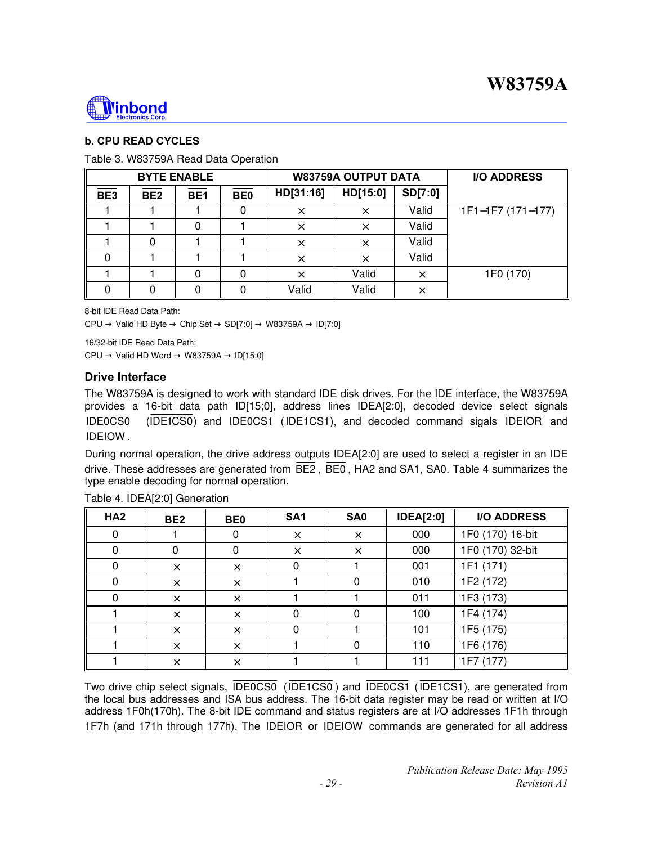

### **b. CPU READ CYCLES**

#### Table 3. W83759A Read Data Operation

|     | <b>BYTE ENABLE</b> |                 |                  |           | <b>W83759A OUTPUT DATA</b> |          | <b>I/O ADDRESS</b> |
|-----|--------------------|-----------------|------------------|-----------|----------------------------|----------|--------------------|
| BE3 | BE <sub>2</sub>    | BE <sub>1</sub> | $\overline{BE0}$ | HD[31:16] | HD[15:0]                   | SD[7:0]  |                    |
|     |                    |                 |                  | X         |                            | Valid    | 1F1-1F7 (171-177)  |
|     |                    |                 |                  | $\times$  | $\times$                   | Valid    |                    |
|     | 0                  |                 |                  | $\times$  | X                          | Valid    |                    |
|     |                    |                 |                  | $\times$  | ×                          | Valid    |                    |
|     |                    | 0               | 0                | ×         | Valid                      | $\times$ | 1F0 (170)          |
|     | 0                  | 0               | 0                | Valid     | Valid                      | $\times$ |                    |

8-bit IDE Read Data Path:  $CPU \rightarrow Valid HD Byte \rightarrow Chip Set \rightarrow SD[7:0] \rightarrow W83759A \rightarrow ID[7:0]$ 

16/32-bit IDE Read Data Path:  $CPU \rightarrow Valid HD Word \rightarrow W83759A \rightarrow ID[15:0]$ 

#### **Drive Interface**

The W83759A is designed to work with standard IDE disk drives. For the IDE interface, the W83759A provides a 16-bit data path ID[15;0], address lines IDEA[2:0], decoded device select signals IDE0CS0 (IDE1CS0) and IDE0CS1 (IDE1CS1), and decoded command sigals IDEIOR and IDEIOW .

During normal operation, the drive address outputs IDEA[2:0] are used to select a register in an IDE drive. These addresses are generated from  $\overline{BE2}$ ,  $\overline{BE0}$ , HA2 and SA1, SA0. Table 4 summarizes the type enable decoding for normal operation.

| HA <sub>2</sub> | BE <sub>2</sub> | <b>BE0</b> | SA <sub>1</sub> | SA <sub>0</sub> | <b>IDEA[2:0]</b> | <b>I/O ADDRESS</b> |
|-----------------|-----------------|------------|-----------------|-----------------|------------------|--------------------|
| 0               |                 | O          | $\times$        | $\times$        | 000              | 1F0 (170) 16-bit   |
| 0               | 0               | 0          | $\times$        | $\times$        | 000              | 1F0 (170) 32-bit   |
| $\mathbf{0}$    | X               | $\times$   | 0               |                 | 001              | 1F1 (171)          |
| 0               | $\times$        | $\times$   |                 | 0               | 010              | 1F2 (172)          |
| $\Omega$        | $\times$        | $\times$   |                 |                 | 011              | 1F3 (173)          |
|                 | X               | $\times$   | $\Omega$        | 0               | 100              | 1F4 (174)          |
|                 | $\times$        | $\times$   | $\Omega$        |                 | 101              | 1F5 (175)          |
|                 | $\times$        | $\times$   |                 | 0               | 110              | 1F6 (176)          |
|                 | $\times$        | $\times$   |                 |                 | 111              | 1F7 (177)          |

Table 4. IDEA[2:0] Generation

Two drive chip select signals, IDE0CS0 (IDE1CS0 ) and IDE0CS1 (IDE1CS1), are generated from the local bus addresses and ISA bus address. The 16-bit data register may be read or written at I/O address 1F0h(170h). The 8-bit IDE command and status registers are at I/O addresses 1F1h through 1F7h (and 171h through 177h). The IDEIOR or IDEIOW commands are generated for all address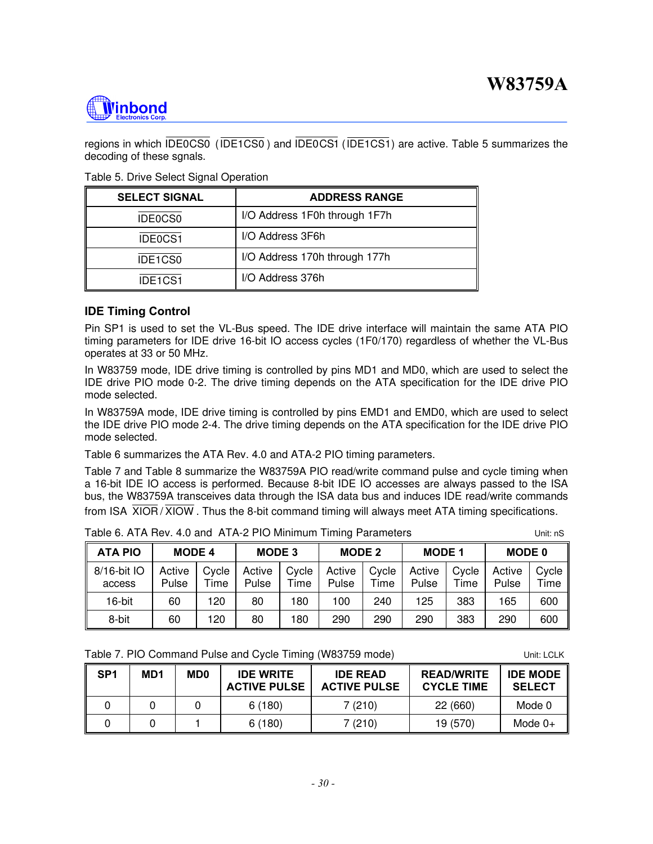

regions in which IDE0CS0 (IDE1CS0 ) and IDE0CS1 (IDE1CS1) are active. Table 5 summarizes the decoding of these sgnals.

Table 5. Drive Select Signal Operation

| <b>SELECT SIGNAL</b> | <b>ADDRESS RANGE</b>          |
|----------------------|-------------------------------|
| IDE0CS0              | I/O Address 1F0h through 1F7h |
| IDE0CS1              | I/O Address 3F6h              |
| IDE1CS0              | I/O Address 170h through 177h |
| IDE1CS1              | I/O Address 376h              |

#### **IDE Timing Control**

Pin SP1 is used to set the VL-Bus speed. The IDE drive interface will maintain the same ATA PIO timing parameters for IDE drive 16-bit IO access cycles (1F0/170) regardless of whether the VL-Bus operates at 33 or 50 MHz.

In W83759 mode, IDE drive timing is controlled by pins MD1 and MD0, which are used to select the IDE drive PIO mode 0-2. The drive timing depends on the ATA specification for the IDE drive PIO mode selected.

In W83759A mode, IDE drive timing is controlled by pins EMD1 and EMD0, which are used to select the IDE drive PIO mode 2-4. The drive timing depends on the ATA specification for the IDE drive PIO mode selected.

Table 6 summarizes the ATA Rev. 4.0 and ATA-2 PIO timing parameters.

Table 7 and Table 8 summarize the W83759A PIO read/write command pulse and cycle timing when a 16-bit IDE IO access is performed. Because 8-bit IDE IO accesses are always passed to the ISA bus, the W83759A transceives data through the ISA data bus and induces IDE read/write commands from ISA  $\overline{X}$ IOR /  $\overline{X}$ IOW. Thus the 8-bit command timing will always meet ATA timing specifications.

| ATA PIO                                                                                                 | <b>MODE 4</b> |      | <b>MODE 3</b> |  | <b>MODE 2</b>                       |  | <b>MODE 1</b> |  | <b>MODE 0</b> |     |  |
|---------------------------------------------------------------------------------------------------------|---------------|------|---------------|--|-------------------------------------|--|---------------|--|---------------|-----|--|
| 8/16-bit IO   Active   Cycle   Active   Cycle   Active   Cycle   Active   Cycle   Active   Cy<br>access | Pulse         | Time |               |  | Pulse   Time   Pulse   Time   Pulse |  |               |  | Time Pulse    | Til |  |

Table 6. ATA Rev. 4.0 and ATA-2 PIO Minimum Timing Parameters The Munities Unit: nS

Cycle Time

| Table 7. PIO Command Pulse and Cycle Timing (W83759 mode) | Unit: LCLK |
|-----------------------------------------------------------|------------|
|-----------------------------------------------------------|------------|

| SP <sub>1</sub> | MD1 | <b>MD0</b> | <b>IDE WRITE</b><br><b>ACTIVE PULSE</b> | <b>IDE READ</b><br><b>ACTIVE PULSE</b> | <b>READ/WRITE</b><br><b>CYCLE TIME</b> | <b>IDE MODE</b><br><b>SELECT</b> |
|-----------------|-----|------------|-----------------------------------------|----------------------------------------|----------------------------------------|----------------------------------|
|                 |     |            | 6(180)                                  | 7(210)                                 | 22(660)                                | Mode 0                           |
|                 |     |            | 6(180)                                  | 7(210)                                 | 19 (570)                               | Mode $0+$                        |

16-bit | 60 | 120 | 80 | 180 | 100 | 240 | 125 | 383 | 165 | 600 8-bit | 60 | 120 | 80 | 180 | 290 | 290 | 290 | 383 | 290 | 600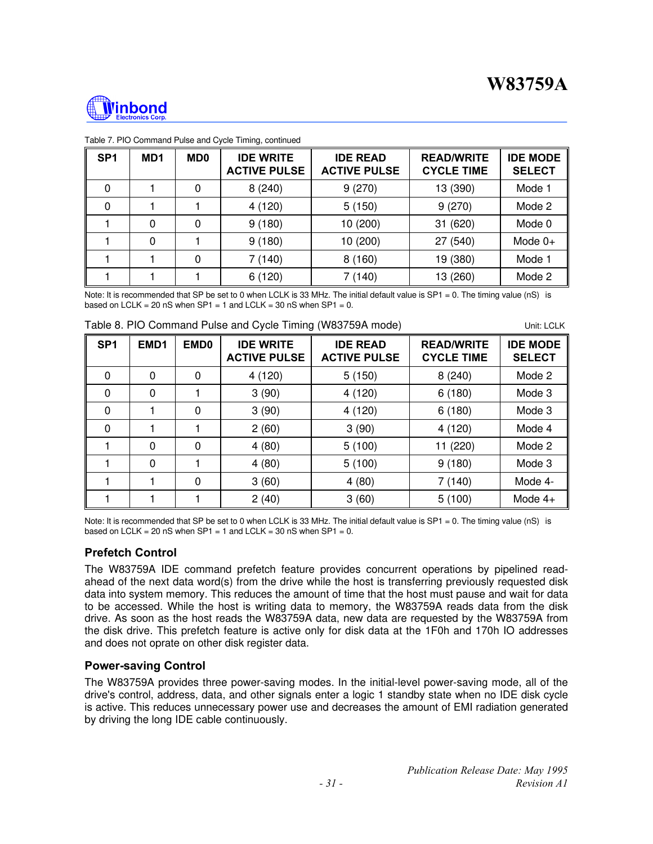

| SP <sub>1</sub> | MD <sub>1</sub> | <b>MD0</b> | <b>IDE WRITE</b><br><b>ACTIVE PULSE</b> | <b>IDE READ</b><br><b>ACTIVE PULSE</b> | <b>READ/WRITE</b><br><b>CYCLE TIME</b> | <b>IDE MODE</b><br><b>SELECT</b> |
|-----------------|-----------------|------------|-----------------------------------------|----------------------------------------|----------------------------------------|----------------------------------|
| 0               |                 | 0          | 8(240)                                  | 9(270)                                 | 13 (390)                               | Mode 1                           |
| 0               |                 |            | 4(120)                                  | 5(150)                                 | 9(270)                                 | Mode 2                           |
|                 | 0               | 0          | 9(180)                                  | 10 (200)                               | 31 (620)                               | Mode 0                           |
|                 | 0               |            | 9(180)                                  | 10 (200)                               | 27 (540)                               | Mode $0+$                        |
|                 |                 | 0          | 7(140)                                  | 8(160)                                 | 19 (380)                               | Mode 1                           |
|                 |                 |            | 6(120)                                  | 7 (140)                                | 13 (260)                               | Mode 2                           |

#### Table 7. PIO Command Pulse and Cycle Timing, continued

Note: It is recommended that SP be set to 0 when LCLK is 33 MHz. The initial default value is SP1 = 0. The timing value (nS) is based on LCLK = 20 nS when  $SP1 = 1$  and LCLK = 30 nS when  $SP1 = 0$ .

| Table 8. PIO Command Pulse and Cycle Timing (W83759A mode) | Unit: LCLK |
|------------------------------------------------------------|------------|
|------------------------------------------------------------|------------|

| SP <sub>1</sub> | EMD <sub>1</sub> | EMD <sub>0</sub> | <b>IDE WRITE</b><br><b>ACTIVE PULSE</b> | <b>IDE READ</b><br><b>ACTIVE PULSE</b> | <b>READ/WRITE</b><br><b>CYCLE TIME</b> | <b>IDE MODE</b><br><b>SELECT</b> |
|-----------------|------------------|------------------|-----------------------------------------|----------------------------------------|----------------------------------------|----------------------------------|
| 0               | $\Omega$         | 0                | 4(120)                                  | 5(150)                                 | 8(240)                                 | Mode 2                           |
| $\Omega$        | $\Omega$         |                  | 3(90)                                   | 4 (120)                                | 6(180)                                 | Mode 3                           |
| $\Omega$        |                  | 0                | 3(90)                                   | 4(120)                                 | 6(180)                                 | Mode 3                           |
| $\Omega$        |                  |                  | 2(60)                                   | 3(90)                                  | 4 (120)                                | Mode 4                           |
|                 | $\Omega$         | 0                | 4(80)                                   | 5(100)                                 | 11 (220)                               | Mode 2                           |
|                 | 0                |                  | 4(80)                                   | 5(100)                                 | 9(180)                                 | Mode 3                           |
|                 |                  | 0                | 3(60)                                   | 4(80)                                  | 7(140)                                 | Mode 4-                          |
|                 |                  |                  | 2(40)                                   | 3(60)                                  | 5(100)                                 | Mode $4+$                        |

Note: It is recommended that SP be set to 0 when LCLK is 33 MHz. The initial default value is SP1 = 0. The timing value (nS) is based on LCLK = 20 nS when  $SP1 = 1$  and LCLK = 30 nS when  $SP1 = 0$ .

#### **Prefetch Control**

The W83759A IDE command prefetch feature provides concurrent operations by pipelined readahead of the next data word(s) from the drive while the host is transferring previously requested disk data into system memory. This reduces the amount of time that the host must pause and wait for data to be accessed. While the host is writing data to memory, the W83759A reads data from the disk drive. As soon as the host reads the W83759A data, new data are requested by the W83759A from the disk drive. This prefetch feature is active only for disk data at the 1F0h and 170h IO addresses and does not oprate on other disk register data.

#### **Power-saving Control**

The W83759A provides three power-saving modes. In the initial-level power-saving mode, all of the drive's control, address, data, and other signals enter a logic 1 standby state when no IDE disk cycle is active. This reduces unnecessary power use and decreases the amount of EMI radiation generated by driving the long IDE cable continuously.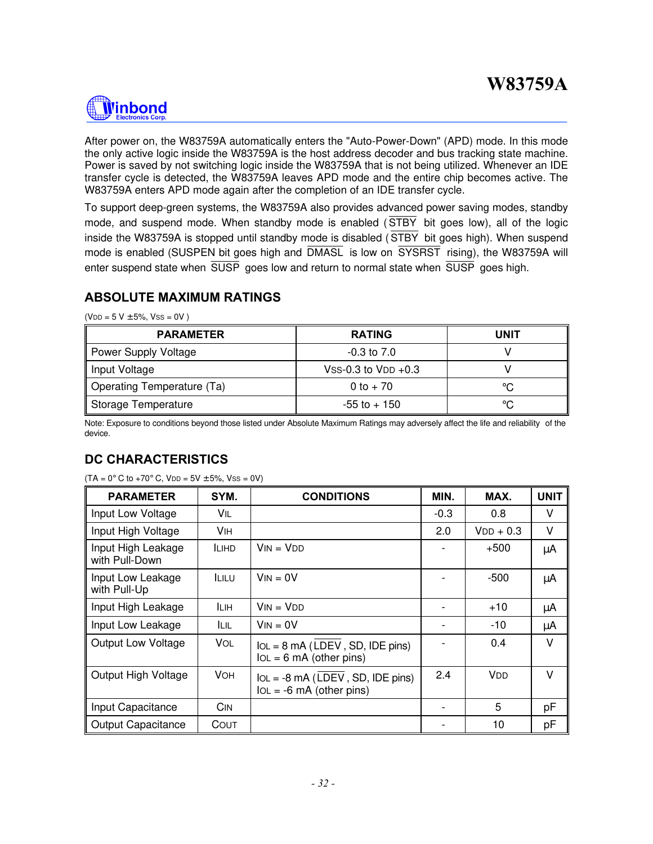# **Winbond**

After power on, the W83759A automatically enters the "Auto-Power-Down" (APD) mode. In this mode the only active logic inside the W83759A is the host address decoder and bus tracking state machine. Power is saved by not switching logic inside the W83759A that is not being utilized. Whenever an IDE transfer cycle is detected, the W83759A leaves APD mode and the entire chip becomes active. The W83759A enters APD mode again after the completion of an IDE transfer cycle.

To support deep-green systems, the W83759A also provides advanced power saving modes, standby mode, and suspend mode. When standby mode is enabled ( STBY bit goes low), all of the logic inside the W83759A is stopped until standby mode is disabled ( STBY bit goes high). When suspend mode is enabled (SUSPEN bit goes high and DMASL is low on SYSRST rising), the W83759A will enter suspend state when SUSP goes low and return to normal state when SUSP goes high.

### **ABSOLUTE MAXIMUM RATINGS**

 $(VDD = 5 V ± 5%, VSS = 0V)$ 

| <b>PARAMETER</b>           | <b>RATING</b>         | UNIT |
|----------------------------|-----------------------|------|
| Power Supply Voltage       | $-0.3$ to $7.0$       |      |
| Input Voltage              | Vss-0.3 to $VDD +0.3$ |      |
| Operating Temperature (Ta) | 0 to $+70$            | °C   |
| Storage Temperature        | $-55$ to $+150$       | °C   |

Note: Exposure to conditions beyond those listed under Absolute Maximum Ratings may adversely affect the life and reliability of the device.

### **DC CHARACTERISTICS**

| <b>PARAMETER</b>                     | SYM.         | <b>CONDITIONS</b>                                                | MIN.   | MAX.                  | <b>UNIT</b> |
|--------------------------------------|--------------|------------------------------------------------------------------|--------|-----------------------|-------------|
| Input Low Voltage                    | Vil          |                                                                  | $-0.3$ | 0.8                   | V           |
| Input High Voltage                   | <b>V</b> IH  |                                                                  | 2.0    | $VDD + 0.3$           | V           |
| Input High Leakage<br>with Pull-Down | <b>ILIHD</b> | $V$ ות = V                                                       |        | $+500$                | μA          |
| Input Low Leakage<br>with Pull-Up    | <b>ILILU</b> | $V_{IN} = 0V$                                                    |        | -500                  | μA          |
| Input High Leakage                   | <b>ILIH</b>  | $V_{IN} = V_{DD}$                                                |        | $+10$                 | μA          |
| Input Low Leakage                    | ILIL         | $V_{IN} = 0V$                                                    |        | -10                   | μA          |
| <b>Output Low Voltage</b>            | <b>VOL</b>   | $IOL = 8 mA (LDEV, SD, IDE pins)$<br>$IOL = 6 mA$ (other pins)   |        | 0.4                   | V           |
| Output High Voltage                  | VOH.         | $IOL = -8 mA (LDEV, SD, IDE pins)$<br>$IOL = -6 mA$ (other pins) | 2.4    | <b>V</b> <sub>D</sub> | V           |
| Input Capacitance                    | CIN          |                                                                  |        | 5                     | pF          |
| <b>Output Capacitance</b>            | COUT         |                                                                  |        | 10                    | pF          |

 $(TA = 0^{\circ} C$  to  $+70^{\circ} C$ ,  $VDD = 5V \pm 5\%$ ,  $VSS = 0V$ )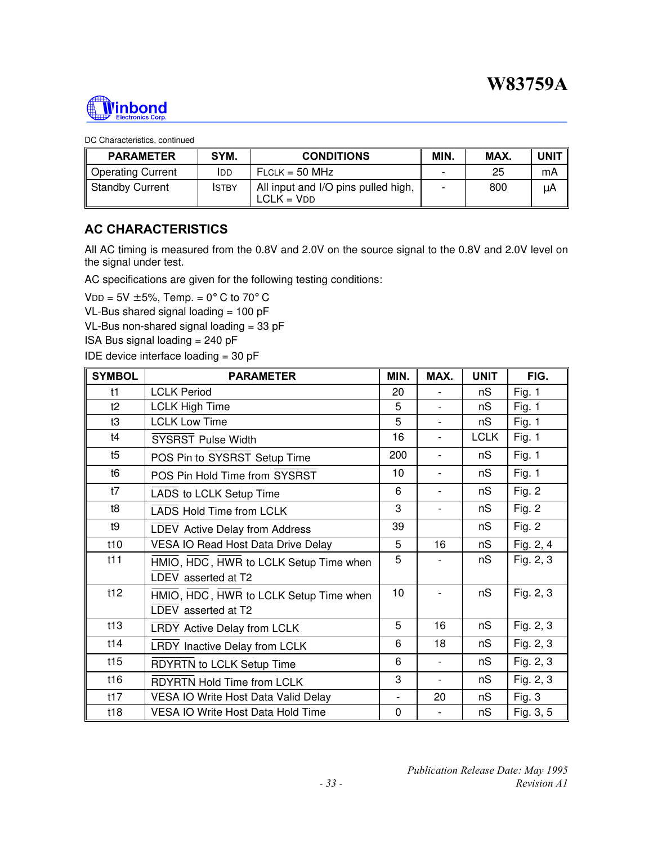

DC Characteristics, continued

| <b>PARAMETER</b>         | SYM.         | <b>CONDITIONS</b>                                   | MIN. | MAX. | UNIT |
|--------------------------|--------------|-----------------------------------------------------|------|------|------|
| <b>Operating Current</b> | <b>IDD</b>   | $FLCLK = 50 MHz$                                    | -    | 25   | mA   |
| <b>Standby Current</b>   | <b>ISTBY</b> | All input and I/O pins pulled high,<br>$LCLK = VDD$ |      | 800  | μA   |

### **AC CHARACTERISTICS**

All AC timing is measured from the 0.8V and 2.0V on the source signal to the 0.8V and 2.0V level on the signal under test.

AC specifications are given for the following testing conditions:

VDD =  $5V \pm 5%$ , Temp. =  $0^{\circ}$  C to  $70^{\circ}$  C

VL-Bus shared signal loading  $= 100$  pF

VL-Bus non-shared signal loading = 33 pF

ISA Bus signal loading = 240 pF

IDE device interface loading  $= 30$  pF

| <b>SYMBOL</b> | <b>PARAMETER</b>                                              | MIN.           | MAX.                     | <b>UNIT</b> | FIG.      |
|---------------|---------------------------------------------------------------|----------------|--------------------------|-------------|-----------|
| t1            | <b>LCLK Period</b>                                            | 20             |                          | nS          | Fig. $1$  |
| t2            | <b>LCLK High Time</b>                                         | 5              | $\overline{\phantom{0}}$ | nS          | Fig. $1$  |
| t3            | <b>LCLK Low Time</b>                                          | 5              |                          | nS          | Fig. $1$  |
| t4            | <b>SYSRST Pulse Width</b>                                     | 16             | $\overline{\phantom{a}}$ | <b>LCLK</b> | Fig. 1    |
| t5            | POS Pin to SYSRST Setup Time                                  | 200            | $\overline{\phantom{a}}$ | nS          | Fig. $1$  |
| t6            | POS Pin Hold Time from SYSRST                                 | 10             | $\overline{\phantom{a}}$ | nS          | Fig. $1$  |
| t7            | LADS to LCLK Setup Time                                       | 6              | $\overline{\phantom{a}}$ | nS          | Fig. $2$  |
| t8            | <b>LADS Hold Time from LCLK</b>                               | 3              |                          | nS          | Fig. $2$  |
| t9            | LDEV Active Delay from Address                                | 39             |                          | nS          | Fig. $2$  |
| t10           | VESA IO Read Host Data Drive Delay                            | 5              | 16                       | nS          | Fig. 2, 4 |
| t11           | HMIO, HDC, HWR to LCLK Setup Time when<br>LDEV asserted at T2 | 5              |                          | nS          | Fig. 2, 3 |
| t12           | HMIO, HDC, HWR to LCLK Setup Time when<br>LDEV asserted at T2 | 10             |                          | nS          | Fig. 2, 3 |
| t13           | LRDY Active Delay from LCLK                                   | 5              | 16                       | nS          | Fig. 2, 3 |
| t14           | LRDY Inactive Delay from LCLK                                 | 6              | 18                       | nS          | Fig. 2, 3 |
| t15           | RDYRTN to LCLK Setup Time                                     | 6              | $\overline{\phantom{a}}$ | nS          | Fig. 2, 3 |
| t16           | <b>RDYRTN Hold Time from LCLK</b>                             | 3              |                          | nS          | Fig. 2, 3 |
| t17           | VESA IO Write Host Data Valid Delay                           | $\overline{a}$ | 20                       | nS          | Fig. 3    |
| t18           | <b>VESA IO Write Host Data Hold Time</b>                      | $\mathbf 0$    |                          | nS          | Fig. 3, 5 |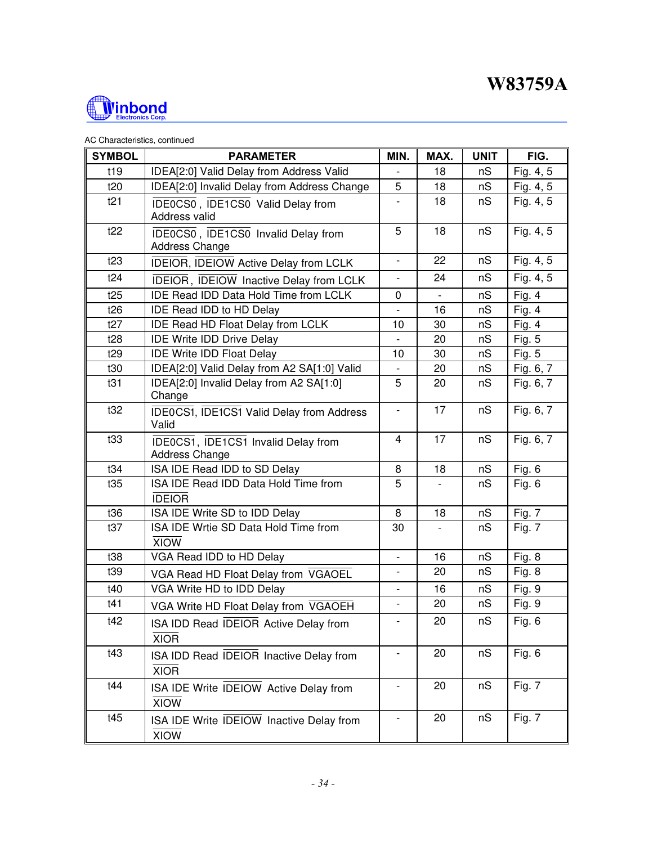

#### AC Characteristics, continued

| <b>SYMBOL</b> | <b>PARAMETER</b>                                                     | MIN.                         | MAX. | <b>UNIT</b> | FIG.          |
|---------------|----------------------------------------------------------------------|------------------------------|------|-------------|---------------|
| t19           | IDEA[2:0] Valid Delay from Address Valid                             |                              | 18   | nS          | Fig. 4, 5     |
| t20           | IDEA[2:0] Invalid Delay from Address Change                          | 5                            | 18   | nS          | Fig. 4, 5     |
| t21           | IDE0CS0, IDE1CS0 Valid Delay from<br>Address valid                   |                              | 18   | nS          | Fig. 4, 5     |
| t22           | IDE0CS0, IDE1CS0 Invalid Delay from<br>Address Change                | 5                            | 18   | nS          | Fig. 4, 5     |
| t23           | IDEIOR, IDEIOW Active Delay from LCLK                                | $\overline{\phantom{a}}$     | 22   | nS          | Fig. 4, 5     |
| t24           | IDEIOR, IDEIOW Inactive Delay from LCLK                              |                              | 24   | nS          | Fig. 4, 5     |
| t25           | <b>IDE Read IDD Data Hold Time from LCLK</b>                         | 0                            |      | nS          | Fig. $4$      |
| t26           | IDE Read IDD to HD Delay                                             |                              | 16   | nS          | Fig. 4        |
| t27           | <b>IDE Read HD Float Delay from LCLK</b>                             | 10                           | 30   | nS          | Fig. $4$      |
| t28           | <b>IDE Write IDD Drive Delay</b>                                     | $\overline{\phantom{a}}$     | 20   | nS          | Fig. 5        |
| t29           | <b>IDE Write IDD Float Delay</b>                                     | 10                           | 30   | nS          | Fig. $5$      |
| t30           | IDEA[2:0] Valid Delay from A2 SA[1:0] Valid                          |                              | 20   | nS          | Fig. 6, 7     |
| t31           | IDEA[2:0] Invalid Delay from A2 SA[1:0]<br>Change                    | 5                            | 20   | nS          | Fig. 6, 7     |
| t32           | IDE0CS1, IDE1CS1 Valid Delay from Address<br>Valid                   | $\qquad \qquad \blacksquare$ | 17   | nS          | Fig. 6, 7     |
| t33           | <b>IDEOCS1</b> , <b>IDE1CS1</b> Invalid Delay from<br>Address Change | $\overline{4}$               | 17   | nS          | Fig. 6, 7     |
| t34           | ISA IDE Read IDD to SD Delay                                         | 8                            | 18   | nS          | Fig. 6        |
| t35           | ISA IDE Read IDD Data Hold Time from<br><b>IDEIOR</b>                | 5                            |      | nS          | Fig. 6        |
| t36           | ISA IDE Write SD to IDD Delay                                        | 8                            | 18   | nS          | <b>Fig. 7</b> |
| t37           | ISA IDE Wrtie SD Data Hold Time from<br><b>XIOW</b>                  | 30                           |      | nS          | <b>Fig. 7</b> |
| t38           | VGA Read IDD to HD Delay                                             | $\blacksquare$               | 16   | nS          | Fig. $8$      |
| t39           | VGA Read HD Float Delay from VGAOEL                                  | $\overline{\phantom{a}}$     | 20   | nS          | Fig. $8$      |
| t40           | VGA Write HD to IDD Delay                                            | $\overline{\phantom{a}}$     | 16   | nS          | Fig. 9        |
| t41           | VGA Write HD Float Delay from VGAOEH                                 | $\overline{\phantom{a}}$     | 20   | nS          | Fig. 9        |
| t42           | ISA IDD Read IDEIOR Active Delay from<br><b>XIOR</b>                 |                              | 20   | nS          | Fig. 6        |
| t43           | ISA IDD Read IDEIOR Inactive Delay from<br><b>XIOR</b>               |                              | 20   | nS          | Fig. 6        |
| t44           | ISA IDE Write IDEIOW Active Delay from<br><b>XIOW</b>                | $\overline{\phantom{a}}$     | 20   | nS          | <b>Fig. 7</b> |
| t45           | ISA IDE Write IDEIOW Inactive Delay from<br><b>XIOW</b>              |                              | 20   | nS          | <b>Fig. 7</b> |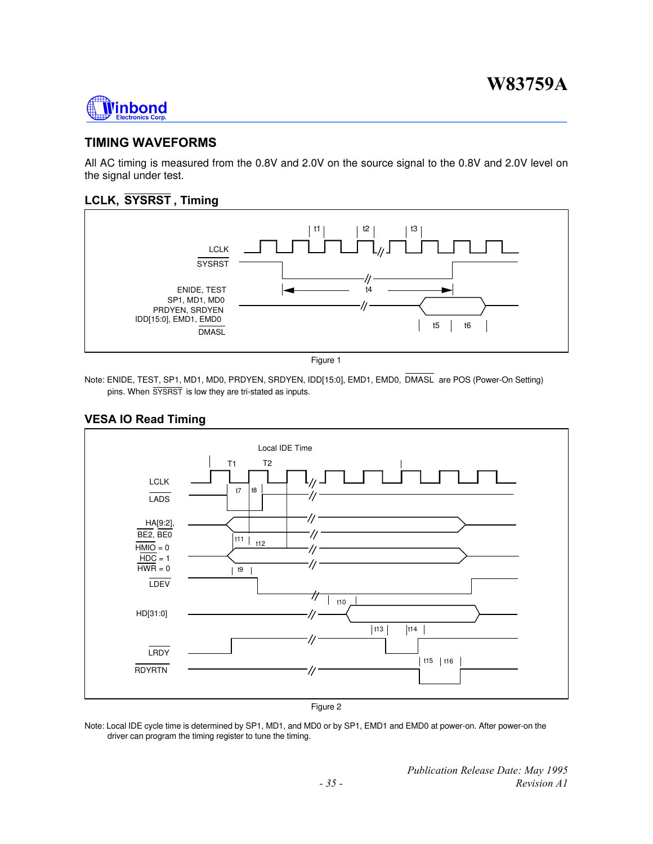

### **TIMING WAVEFORMS**

All AC timing is measured from the 0.8V and 2.0V on the source signal to the 0.8V and 2.0V level on the signal under test.

### **LCLK, SYSRST , Timing**



Figure 1

Note: ENIDE, TEST, SP1, MD1, MD0, PRDYEN, SRDYEN, IDD[15:0], EMD1, EMD0, DMASL are POS (Power-On Setting) pins. When SYSRST is low they are tri-stated as inputs.

### **VESA IO Read Timing**



Note: Local IDE cycle time is determined by SP1, MD1, and MD0 or by SP1, EMD1 and EMD0 at power-on. After power-on the driver can program the timing register to tune the timing.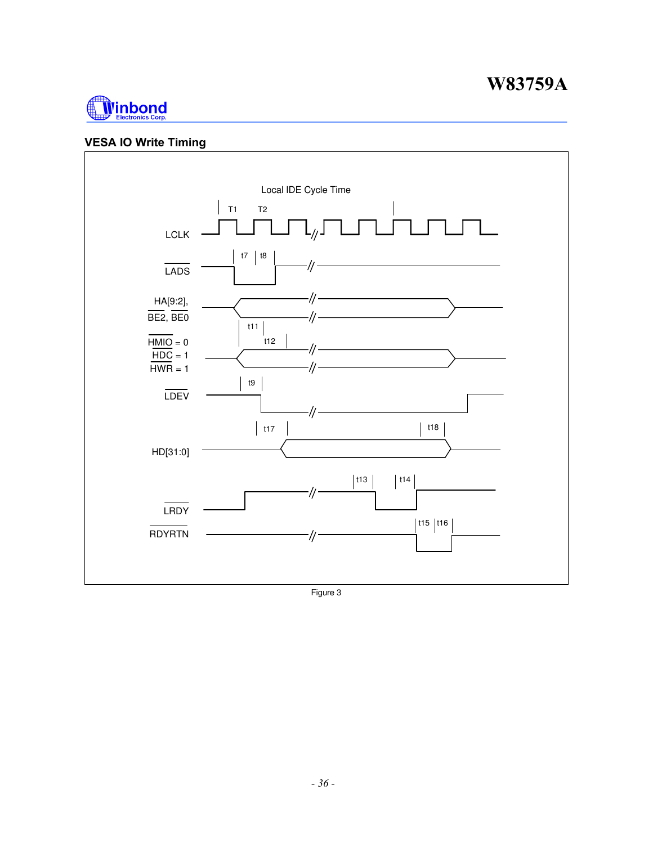

### **VESA IO Write Timing**



Figure 3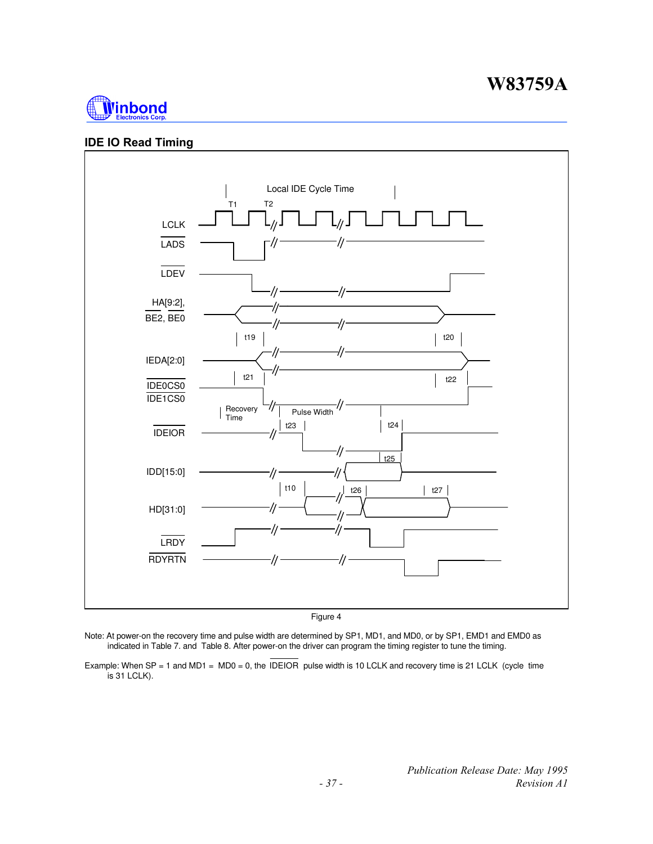

### **IDE IO Read Timing**



Figure 4

- Note: At power-on the recovery time and pulse width are determined by SP1, MD1, and MD0, or by SP1, EMD1 and EMD0 as indicated in Table 7. and Table 8. After power-on the driver can program the timing register to tune the timing.
- Example: When SP = 1 and MD1 = MD0 = 0, the IDEIOR pulse width is 10 LCLK and recovery time is 21 LCLK (cycle time  $\overline{\phantom{a}}$  is 31 LCLK).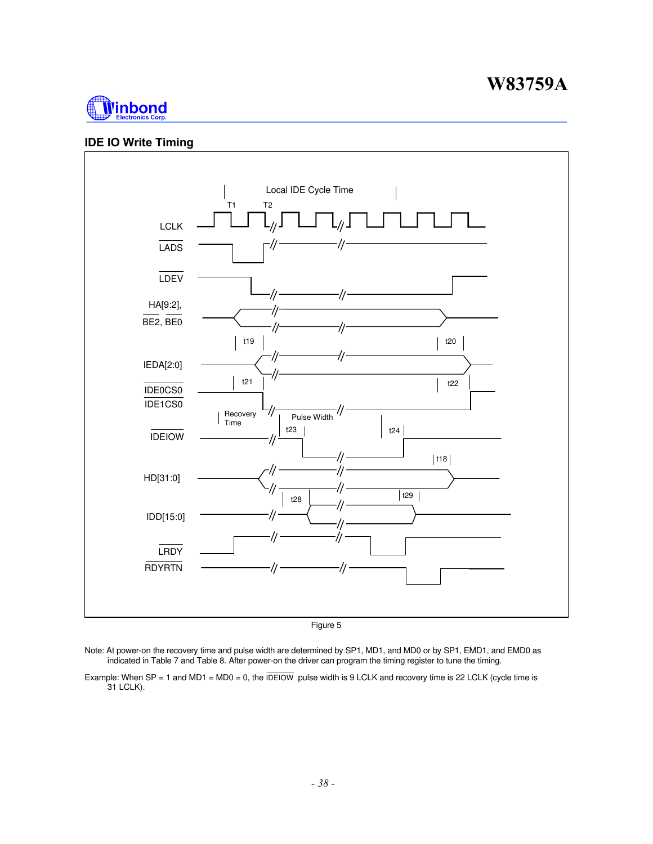

#### **IDE IO Write Timing**



Figure 5

Note: At power-on the recovery time and pulse width are determined by SP1, MD1, and MD0 or by SP1, EMD1, and EMD0 as indicated in Table 7 and Table 8. After power-on the driver can program the timing register to tune the timing.

Example: When SP = 1 and MD1 = MD0 = 0, the  $\overline{DEIOW}$  pulse width is 9 LCLK and recovery time is 22 LCLK (cycle time is 31 LCLK).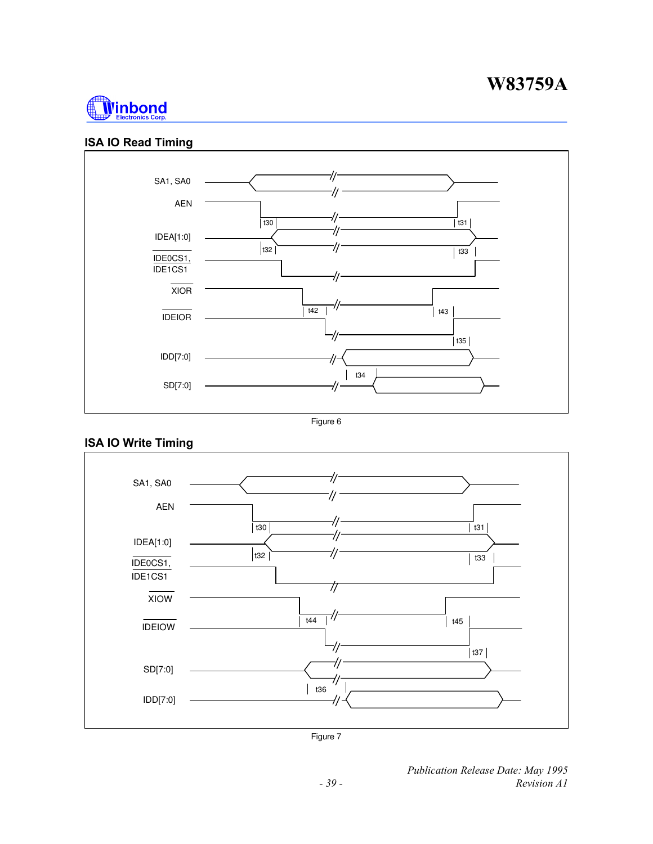

### **ISA IO Read Timing**



Figure 6

### **ISA IO Write Timing**



Figure 7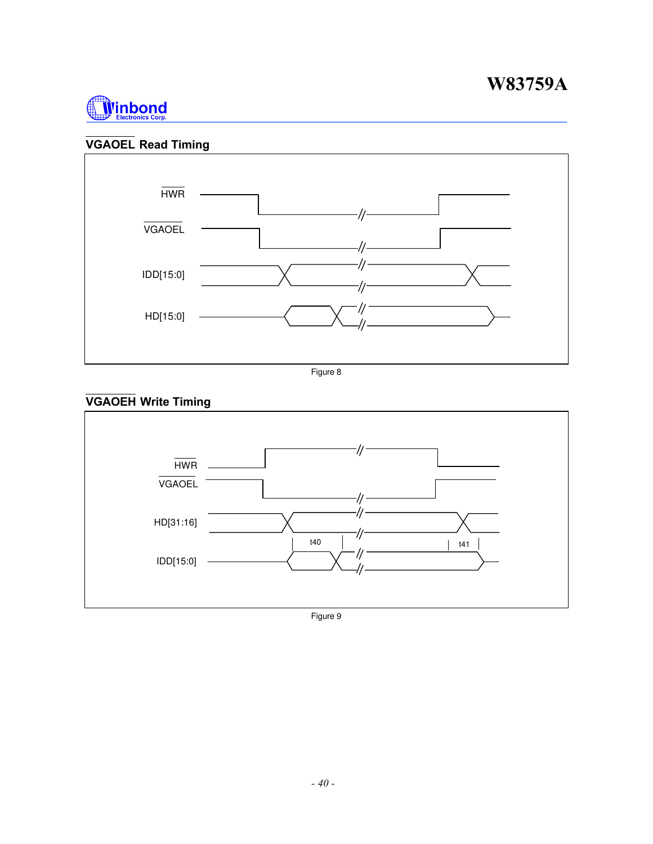![](_page_39_Picture_1.jpeg)

## **VGAOEL Read Timing**

![](_page_39_Figure_3.jpeg)

Figure 8

## **VGAOEH Write Timing**

![](_page_39_Figure_6.jpeg)

Figure 9